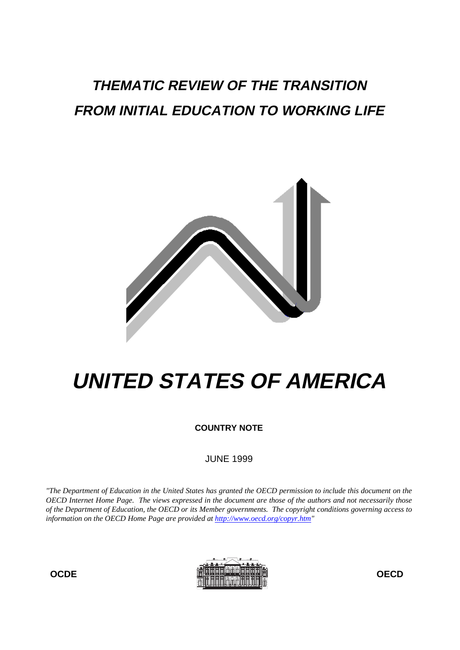# **THEMATIC REVIEW OF THE TRANSITION FROM INITIAL EDUCATION TO WORKING LIFE**



# **UNITED STATES OF AMERICA**

**COUNTRY NOTE**

JUNE 1999

*"The Department of Education in the United States has granted the OECD permission to include this document on the OECD Internet Home Page. The views expressed in the document are those of the authors and not necessarily those of the Department of Education, the OECD or its Member governments. The copyright conditions governing access to information on the OECD Home Page are provided at http://www.oecd.org/copyr.htm"*



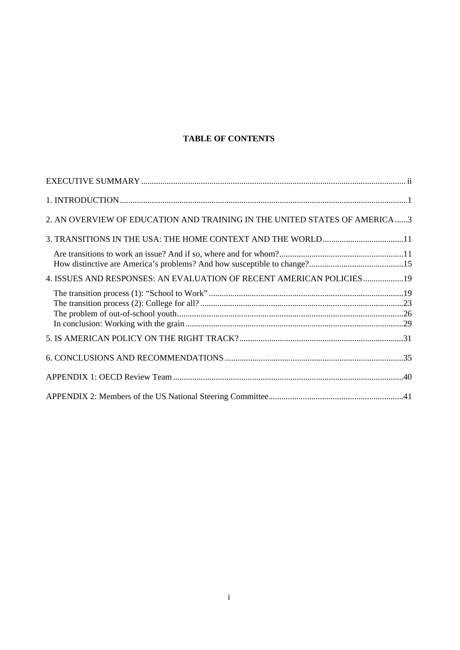# **TABLE OF CONTENTS**

| 2. AN OVERVIEW OF EDUCATION AND TRAINING IN THE UNITED STATES OF AMERICA3 |  |
|---------------------------------------------------------------------------|--|
|                                                                           |  |
|                                                                           |  |
| 4. ISSUES AND RESPONSES: AN EVALUATION OF RECENT AMERICAN POLICIES19      |  |
|                                                                           |  |
|                                                                           |  |
|                                                                           |  |
|                                                                           |  |
|                                                                           |  |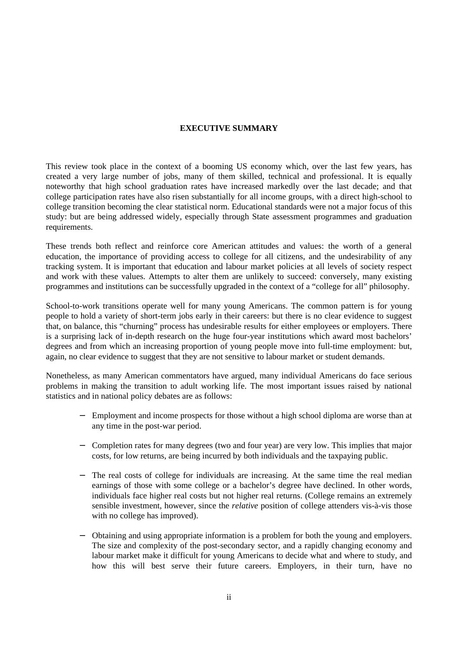# **EXECUTIVE SUMMARY**

This review took place in the context of a booming US economy which, over the last few years, has created a very large number of jobs, many of them skilled, technical and professional. It is equally noteworthy that high school graduation rates have increased markedly over the last decade; and that college participation rates have also risen substantially for all income groups, with a direct high-school to college transition becoming the clear statistical norm. Educational standards were not a major focus of this study: but are being addressed widely, especially through State assessment programmes and graduation requirements.

These trends both reflect and reinforce core American attitudes and values: the worth of a general education, the importance of providing access to college for all citizens, and the undesirability of any tracking system. It is important that education and labour market policies at all levels of society respect and work with these values. Attempts to alter them are unlikely to succeed: conversely, many existing programmes and institutions can be successfully upgraded in the context of a "college for all" philosophy.

School-to-work transitions operate well for many young Americans. The common pattern is for young people to hold a variety of short-term jobs early in their careers: but there is no clear evidence to suggest that, on balance, this "churning" process has undesirable results for either employees or employers. There is a surprising lack of in-depth research on the huge four-year institutions which award most bachelors' degrees and from which an increasing proportion of young people move into full-time employment: but, again, no clear evidence to suggest that they are not sensitive to labour market or student demands.

Nonetheless, as many American commentators have argued, many individual Americans do face serious problems in making the transition to adult working life. The most important issues raised by national statistics and in national policy debates are as follows:

- Employment and income prospects for those without a high school diploma are worse than at any time in the post-war period.
- − Completion rates for many degrees (two and four year) are very low. This implies that major costs, for low returns, are being incurred by both individuals and the taxpaying public.
- The real costs of college for individuals are increasing. At the same time the real median earnings of those with some college or a bachelor's degree have declined. In other words, individuals face higher real costs but not higher real returns. (College remains an extremely sensible investment, however, since the *relative* position of college attenders vis-à-vis those with no college has improved).
- − Obtaining and using appropriate information is a problem for both the young and employers. The size and complexity of the post-secondary sector, and a rapidly changing economy and labour market make it difficult for young Americans to decide what and where to study, and how this will best serve their future careers. Employers, in their turn, have no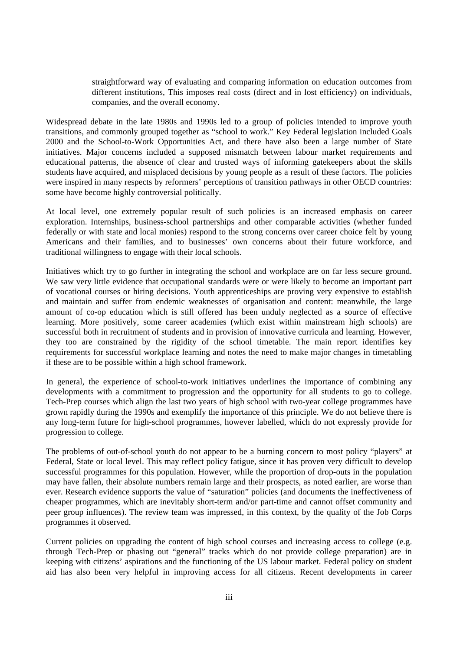straightforward way of evaluating and comparing information on education outcomes from different institutions, This imposes real costs (direct and in lost efficiency) on individuals, companies, and the overall economy.

Widespread debate in the late 1980s and 1990s led to a group of policies intended to improve youth transitions, and commonly grouped together as "school to work." Key Federal legislation included Goals 2000 and the School-to-Work Opportunities Act, and there have also been a large number of State initiatives. Major concerns included a supposed mismatch between labour market requirements and educational patterns, the absence of clear and trusted ways of informing gatekeepers about the skills students have acquired, and misplaced decisions by young people as a result of these factors. The policies were inspired in many respects by reformers' perceptions of transition pathways in other OECD countries: some have become highly controversial politically.

At local level, one extremely popular result of such policies is an increased emphasis on career exploration. Internships, business-school partnerships and other comparable activities (whether funded federally or with state and local monies) respond to the strong concerns over career choice felt by young Americans and their families, and to businesses' own concerns about their future workforce, and traditional willingness to engage with their local schools.

Initiatives which try to go further in integrating the school and workplace are on far less secure ground. We saw very little evidence that occupational standards were or were likely to become an important part of vocational courses or hiring decisions. Youth apprenticeships are proving very expensive to establish and maintain and suffer from endemic weaknesses of organisation and content: meanwhile, the large amount of co-op education which is still offered has been unduly neglected as a source of effective learning. More positively, some career academies (which exist within mainstream high schools) are successful both in recruitment of students and in provision of innovative curricula and learning. However, they too are constrained by the rigidity of the school timetable. The main report identifies key requirements for successful workplace learning and notes the need to make major changes in timetabling if these are to be possible within a high school framework.

In general, the experience of school-to-work initiatives underlines the importance of combining any developments with a commitment to progression and the opportunity for all students to go to college. Tech-Prep courses which align the last two years of high school with two-year college programmes have grown rapidly during the 1990s and exemplify the importance of this principle. We do not believe there is any long-term future for high-school programmes, however labelled, which do not expressly provide for progression to college.

The problems of out-of-school youth do not appear to be a burning concern to most policy "players" at Federal, State or local level. This may reflect policy fatigue, since it has proven very difficult to develop successful programmes for this population. However, while the proportion of drop-outs in the population may have fallen, their absolute numbers remain large and their prospects, as noted earlier, are worse than ever. Research evidence supports the value of "saturation" policies (and documents the ineffectiveness of cheaper programmes, which are inevitably short-term and/or part-time and cannot offset community and peer group influences). The review team was impressed, in this context, by the quality of the Job Corps programmes it observed.

Current policies on upgrading the content of high school courses and increasing access to college (e.g. through Tech-Prep or phasing out "general" tracks which do not provide college preparation) are in keeping with citizens' aspirations and the functioning of the US labour market. Federal policy on student aid has also been very helpful in improving access for all citizens. Recent developments in career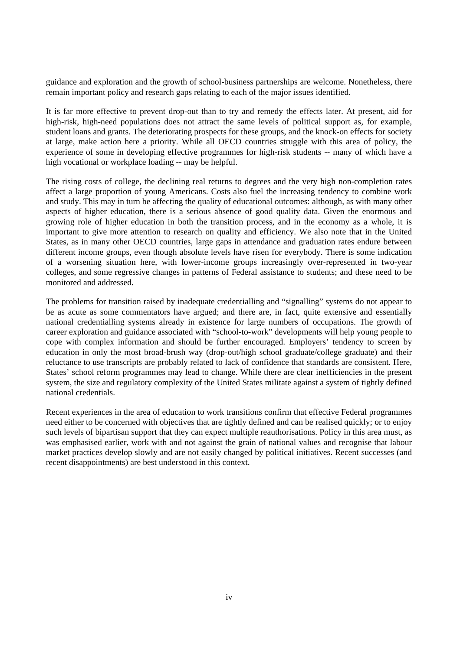guidance and exploration and the growth of school-business partnerships are welcome. Nonetheless, there remain important policy and research gaps relating to each of the major issues identified.

It is far more effective to prevent drop-out than to try and remedy the effects later. At present, aid for high-risk, high-need populations does not attract the same levels of political support as, for example, student loans and grants. The deteriorating prospects for these groups, and the knock-on effects for society at large, make action here a priority. While all OECD countries struggle with this area of policy, the experience of some in developing effective programmes for high-risk students -- many of which have a high vocational or workplace loading -- may be helpful.

The rising costs of college, the declining real returns to degrees and the very high non-completion rates affect a large proportion of young Americans. Costs also fuel the increasing tendency to combine work and study. This may in turn be affecting the quality of educational outcomes: although, as with many other aspects of higher education, there is a serious absence of good quality data. Given the enormous and growing role of higher education in both the transition process, and in the economy as a whole, it is important to give more attention to research on quality and efficiency. We also note that in the United States, as in many other OECD countries, large gaps in attendance and graduation rates endure between different income groups, even though absolute levels have risen for everybody. There is some indication of a worsening situation here, with lower-income groups increasingly over-represented in two-year colleges, and some regressive changes in patterns of Federal assistance to students; and these need to be monitored and addressed.

The problems for transition raised by inadequate credentialling and "signalling" systems do not appear to be as acute as some commentators have argued; and there are, in fact, quite extensive and essentially national credentialling systems already in existence for large numbers of occupations. The growth of career exploration and guidance associated with "school-to-work" developments will help young people to cope with complex information and should be further encouraged. Employers' tendency to screen by education in only the most broad-brush way (drop-out/high school graduate/college graduate) and their reluctance to use transcripts are probably related to lack of confidence that standards are consistent. Here, States' school reform programmes may lead to change. While there are clear inefficiencies in the present system, the size and regulatory complexity of the United States militate against a system of tightly defined national credentials.

Recent experiences in the area of education to work transitions confirm that effective Federal programmes need either to be concerned with objectives that are tightly defined and can be realised quickly; or to enjoy such levels of bipartisan support that they can expect multiple reauthorisations. Policy in this area must, as was emphasised earlier, work with and not against the grain of national values and recognise that labour market practices develop slowly and are not easily changed by political initiatives. Recent successes (and recent disappointments) are best understood in this context.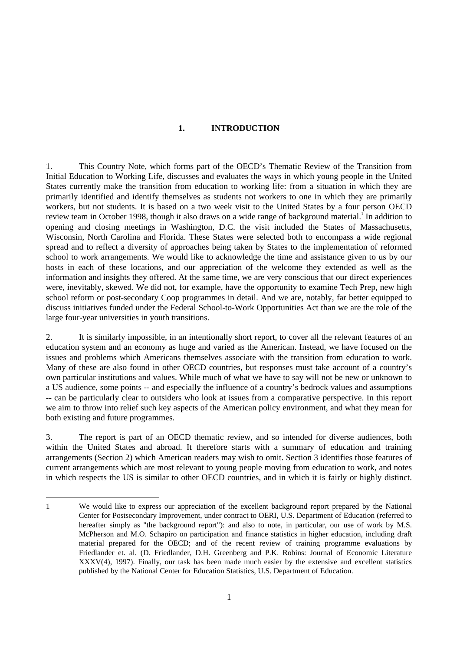#### **1. INTRODUCTION**

1. This Country Note, which forms part of the OECD's Thematic Review of the Transition from Initial Education to Working Life, discusses and evaluates the ways in which young people in the United States currently make the transition from education to working life: from a situation in which they are primarily identified and identify themselves as students not workers to one in which they are primarily workers, but not students. It is based on a two week visit to the United States by a four person OECD review team in October 1998, though it also draws on a wide range of background material.<sup>1</sup> In addition to opening and closing meetings in Washington, D.C. the visit included the States of Massachusetts, Wisconsin, North Carolina and Florida. These States were selected both to encompass a wide regional spread and to reflect a diversity of approaches being taken by States to the implementation of reformed school to work arrangements. We would like to acknowledge the time and assistance given to us by our hosts in each of these locations, and our appreciation of the welcome they extended as well as the information and insights they offered. At the same time, we are very conscious that our direct experiences were, inevitably, skewed. We did not, for example, have the opportunity to examine Tech Prep, new high school reform or post-secondary Coop programmes in detail. And we are, notably, far better equipped to discuss initiatives funded under the Federal School-to-Work Opportunities Act than we are the role of the large four-year universities in youth transitions.

2. It is similarly impossible, in an intentionally short report, to cover all the relevant features of an education system and an economy as huge and varied as the American. Instead, we have focused on the issues and problems which Americans themselves associate with the transition from education to work. Many of these are also found in other OECD countries, but responses must take account of a country's own particular institutions and values. While much of what we have to say will not be new or unknown to a US audience, some points -- and especially the influence of a country's bedrock values and assumptions -- can be particularly clear to outsiders who look at issues from a comparative perspective. In this report we aim to throw into relief such key aspects of the American policy environment, and what they mean for both existing and future programmes.

3. The report is part of an OECD thematic review, and so intended for diverse audiences, both within the United States and abroad. It therefore starts with a summary of education and training arrangements (Section 2) which American readers may wish to omit. Section 3 identifies those features of current arrangements which are most relevant to young people moving from education to work, and notes in which respects the US is similar to other OECD countries, and in which it is fairly or highly distinct.

<sup>1</sup> We would like to express our appreciation of the excellent background report prepared by the National Center for Postsecondary Improvement, under contract to OERI, U.S. Department of Education (referred to hereafter simply as "the background report"): and also to note, in particular, our use of work by M.S. McPherson and M.O. Schapiro on participation and finance statistics in higher education, including draft material prepared for the OECD; and of the recent review of training programme evaluations by Friedlander et. al. (D. Friedlander, D.H. Greenberg and P.K. Robins: Journal of Economic Literature XXXV(4), 1997). Finally, our task has been made much easier by the extensive and excellent statistics published by the National Center for Education Statistics, U.S. Department of Education.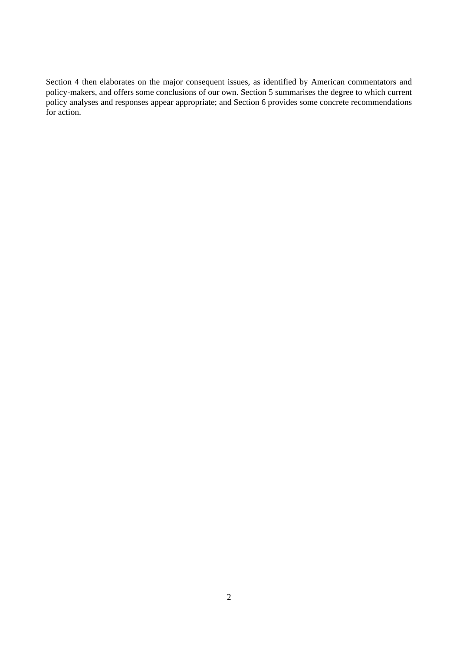Section 4 then elaborates on the major consequent issues, as identified by American commentators and policy-makers, and offers some conclusions of our own. Section 5 summarises the degree to which current policy analyses and responses appear appropriate; and Section 6 provides some concrete recommendations for action.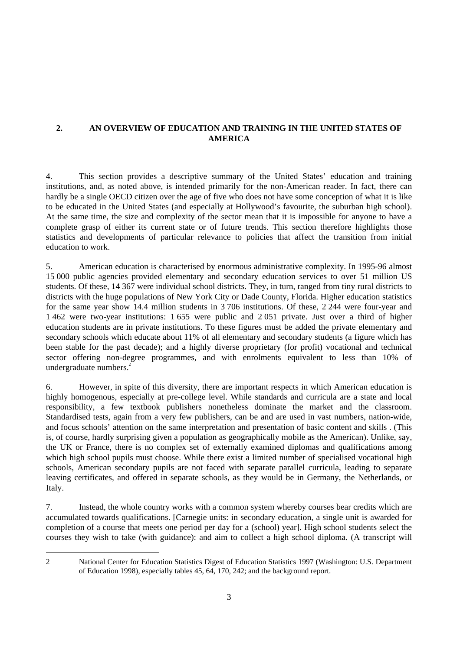# **2. AN OVERVIEW OF EDUCATION AND TRAINING IN THE UNITED STATES OF AMERICA**

4. This section provides a descriptive summary of the United States' education and training institutions, and, as noted above, is intended primarily for the non-American reader. In fact, there can hardly be a single OECD citizen over the age of five who does not have some conception of what it is like to be educated in the United States (and especially at Hollywood's favourite, the suburban high school). At the same time, the size and complexity of the sector mean that it is impossible for anyone to have a complete grasp of either its current state or of future trends. This section therefore highlights those statistics and developments of particular relevance to policies that affect the transition from initial education to work.

5. American education is characterised by enormous administrative complexity. In 1995-96 almost 15 000 public agencies provided elementary and secondary education services to over 51 million US students. Of these, 14 367 were individual school districts. They, in turn, ranged from tiny rural districts to districts with the huge populations of New York City or Dade County, Florida. Higher education statistics for the same year show 14.4 million students in 3 706 institutions. Of these, 2 244 were four-year and 1 462 were two-year institutions: 1 655 were public and 2 051 private. Just over a third of higher education students are in private institutions. To these figures must be added the private elementary and secondary schools which educate about 11% of all elementary and secondary students (a figure which has been stable for the past decade); and a highly diverse proprietary (for profit) vocational and technical sector offering non-degree programmes, and with enrolments equivalent to less than 10% of undergraduate numbers.<sup>2</sup>

6. However, in spite of this diversity, there are important respects in which American education is highly homogenous, especially at pre-college level. While standards and curricula are a state and local responsibility, a few textbook publishers nonetheless dominate the market and the classroom. Standardised tests, again from a very few publishers, can be and are used in vast numbers, nation-wide, and focus schools' attention on the same interpretation and presentation of basic content and skills . (This is, of course, hardly surprising given a population as geographically mobile as the American). Unlike, say, the UK or France, there is no complex set of externally examined diplomas and qualifications among which high school pupils must choose. While there exist a limited number of specialised vocational high schools, American secondary pupils are not faced with separate parallel curricula, leading to separate leaving certificates, and offered in separate schools, as they would be in Germany, the Netherlands, or Italy.

7. Instead, the whole country works with a common system whereby courses bear credits which are accumulated towards qualifications. [Carnegie units: in secondary education, a single unit is awarded for completion of a course that meets one period per day for a (school) year]. High school students select the courses they wish to take (with guidance): and aim to collect a high school diploma. (A transcript will

<sup>2</sup> National Center for Education Statistics Digest of Education Statistics 1997 (Washington: U.S. Department of Education 1998), especially tables 45, 64, 170, 242; and the background report.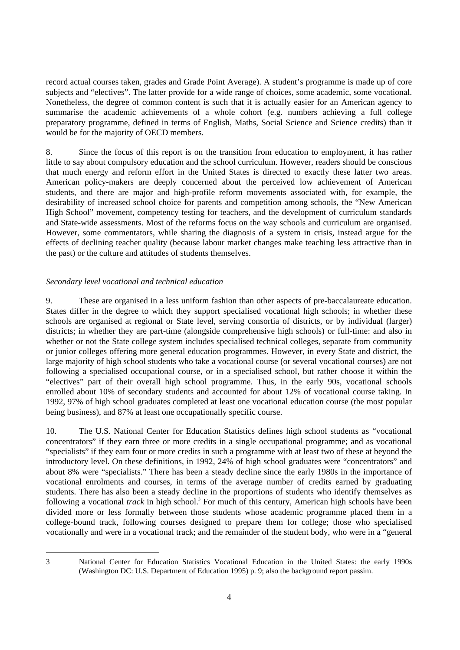record actual courses taken, grades and Grade Point Average). A student's programme is made up of core subjects and "electives". The latter provide for a wide range of choices, some academic, some vocational. Nonetheless, the degree of common content is such that it is actually easier for an American agency to summarise the academic achievements of a whole cohort (e.g. numbers achieving a full college preparatory programme, defined in terms of English, Maths, Social Science and Science credits) than it would be for the majority of OECD members.

8. Since the focus of this report is on the transition from education to employment, it has rather little to say about compulsory education and the school curriculum. However, readers should be conscious that much energy and reform effort in the United States is directed to exactly these latter two areas. American policy-makers are deeply concerned about the perceived low achievement of American students, and there are major and high-profile reform movements associated with, for example, the desirability of increased school choice for parents and competition among schools, the "New American High School" movement, competency testing for teachers, and the development of curriculum standards and State-wide assessments. Most of the reforms focus on the way schools and curriculum are organised. However, some commentators, while sharing the diagnosis of a system in crisis, instead argue for the effects of declining teacher quality (because labour market changes make teaching less attractive than in the past) or the culture and attitudes of students themselves.

# *Secondary level vocational and technical education*

9. These are organised in a less uniform fashion than other aspects of pre-baccalaureate education. States differ in the degree to which they support specialised vocational high schools; in whether these schools are organised at regional or State level, serving consortia of districts, or by individual (larger) districts; in whether they are part-time (alongside comprehensive high schools) or full-time: and also in whether or not the State college system includes specialised technical colleges, separate from community or junior colleges offering more general education programmes. However, in every State and district, the large majority of high school students who take a vocational course (or several vocational courses) are not following a specialised occupational course, or in a specialised school, but rather choose it within the "electives" part of their overall high school programme. Thus, in the early 90s, vocational schools enrolled about 10% of secondary students and accounted for about 12% of vocational course taking. In 1992, 97% of high school graduates completed at least one vocational education course (the most popular being business), and 87% at least one occupationally specific course.

10. The U.S. National Center for Education Statistics defines high school students as "vocational concentrators" if they earn three or more credits in a single occupational programme; and as vocational "specialists" if they earn four or more credits in such a programme with at least two of these at beyond the introductory level. On these definitions, in 1992, 24% of high school graduates were "concentrators" and about 8% were "specialists." There has been a steady decline since the early 1980s in the importance of vocational enrolments and courses, in terms of the average number of credits earned by graduating students. There has also been a steady decline in the proportions of students who identify themselves as following a vocational *track* in high school.<sup>3</sup> For much of this century, American high schools have been divided more or less formally between those students whose academic programme placed them in a college-bound track, following courses designed to prepare them for college; those who specialised vocationally and were in a vocational track; and the remainder of the student body, who were in a "general

<sup>3</sup> National Center for Education Statistics Vocational Education in the United States: the early 1990s (Washington DC: U.S. Department of Education 1995) p. 9; also the background report passim.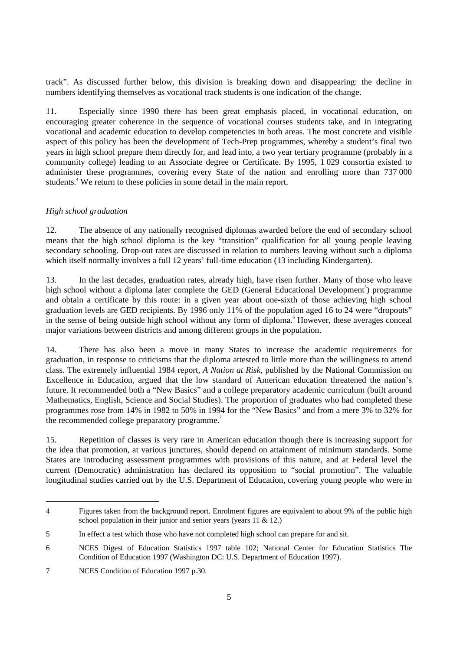track". As discussed further below, this division is breaking down and disappearing: the decline in numbers identifying themselves as vocational track students is one indication of the change.

11. Especially since 1990 there has been great emphasis placed, in vocational education, on encouraging greater coherence in the sequence of vocational courses students take, and in integrating vocational and academic education to develop competencies in both areas. The most concrete and visible aspect of this policy has been the development of Tech-Prep programmes, whereby a student's final two years in high school prepare them directly for, and lead into, a two year tertiary programme (probably in a community college) leading to an Associate degree or Certificate. By 1995, 1 029 consortia existed to administer these programmes, covering every State of the nation and enrolling more than 737 000 students.<sup>4</sup> We return to these policies in some detail in the main report.

# *High school graduation*

12. The absence of any nationally recognised diplomas awarded before the end of secondary school means that the high school diploma is the key "transition" qualification for all young people leaving secondary schooling. Drop-out rates are discussed in relation to numbers leaving without such a diploma which itself normally involves a full 12 years' full-time education (13 including Kindergarten).

13. In the last decades, graduation rates, already high, have risen further. Many of those who leave high school without a diploma later complete the GED (General Educational Development<sup>5</sup>) programme and obtain a certificate by this route: in a given year about one-sixth of those achieving high school graduation levels are GED recipients. By 1996 only 11% of the population aged 16 to 24 were "dropouts" in the sense of being outside high school without any form of diploma.<sup>6</sup> However, these averages conceal major variations between districts and among different groups in the population.

14. There has also been a move in many States to increase the academic requirements for graduation, in response to criticisms that the diploma attested to little more than the willingness to attend class. The extremely influential 1984 report, *A Nation at Risk*, published by the National Commission on Excellence in Education, argued that the low standard of American education threatened the nation's future. It recommended both a "New Basics" and a college preparatory academic curriculum (built around Mathematics, English, Science and Social Studies). The proportion of graduates who had completed these programmes rose from 14% in 1982 to 50% in 1994 for the "New Basics" and from a mere 3% to 32% for the recommended college preparatory programme.<sup>7</sup>

15. Repetition of classes is very rare in American education though there is increasing support for the idea that promotion, at various junctures, should depend on attainment of minimum standards. Some States are introducing assessment programmes with provisions of this nature, and at Federal level the current (Democratic) administration has declared its opposition to "social promotion". The valuable longitudinal studies carried out by the U.S. Department of Education, covering young people who were in

<sup>4</sup> Figures taken from the background report. Enrolment figures are equivalent to about 9% of the public high school population in their junior and senior years (years 11 & 12.)

<sup>5</sup> In effect a test which those who have not completed high school can prepare for and sit.

<sup>6</sup> NCES Digest of Education Statistics 1997 table 102; National Center for Education Statistics The Condition of Education 1997 (Washington DC: U.S. Department of Education 1997).

<sup>7</sup> NCES Condition of Education 1997 p.30.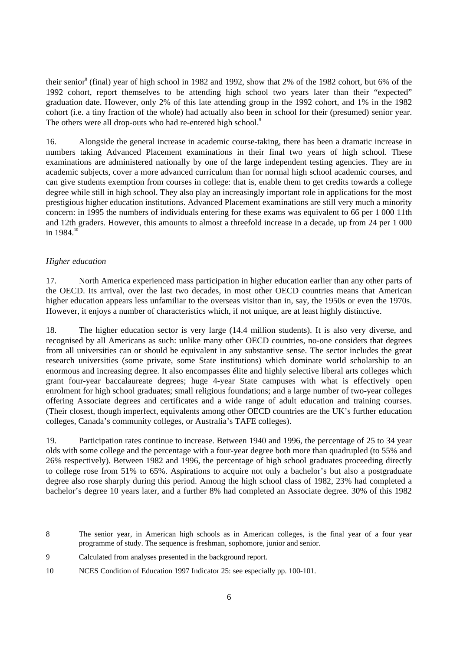their senior<sup>8</sup> (final) year of high school in 1982 and 1992, show that 2% of the 1982 cohort, but 6% of the 1992 cohort, report themselves to be attending high school two years later than their "expected" graduation date. However, only 2% of this late attending group in the 1992 cohort, and 1% in the 1982 cohort (i.e. a tiny fraction of the whole) had actually also been in school for their (presumed) senior year. The others were all drop-outs who had re-entered high school.<sup>9</sup>

16. Alongside the general increase in academic course-taking, there has been a dramatic increase in numbers taking Advanced Placement examinations in their final two years of high school. These examinations are administered nationally by one of the large independent testing agencies. They are in academic subjects, cover a more advanced curriculum than for normal high school academic courses, and can give students exemption from courses in college: that is, enable them to get credits towards a college degree while still in high school. They also play an increasingly important role in applications for the most prestigious higher education institutions. Advanced Placement examinations are still very much a minority concern: in 1995 the numbers of individuals entering for these exams was equivalent to 66 per 1 000 11th and 12th graders. However, this amounts to almost a threefold increase in a decade, up from 24 per 1 000 in  $1984$ <sup>10</sup>

# *Higher education*

17. North America experienced mass participation in higher education earlier than any other parts of the OECD. Its arrival, over the last two decades, in most other OECD countries means that American higher education appears less unfamiliar to the overseas visitor than in, say, the 1950s or even the 1970s. However, it enjoys a number of characteristics which, if not unique, are at least highly distinctive.

18. The higher education sector is very large (14.4 million students). It is also very diverse, and recognised by all Americans as such: unlike many other OECD countries, no-one considers that degrees from all universities can or should be equivalent in any substantive sense. The sector includes the great research universities (some private, some State institutions) which dominate world scholarship to an enormous and increasing degree. It also encompasses élite and highly selective liberal arts colleges which grant four-year baccalaureate degrees; huge 4-year State campuses with what is effectively open enrolment for high school graduates; small religious foundations; and a large number of two-year colleges offering Associate degrees and certificates and a wide range of adult education and training courses. (Their closest, though imperfect, equivalents among other OECD countries are the UK's further education colleges, Canada's community colleges, or Australia's TAFE colleges).

19. Participation rates continue to increase. Between 1940 and 1996, the percentage of 25 to 34 year olds with some college and the percentage with a four-year degree both more than quadrupled (to 55% and 26% respectively). Between 1982 and 1996, the percentage of high school graduates proceeding directly to college rose from 51% to 65%. Aspirations to acquire not only a bachelor's but also a postgraduate degree also rose sharply during this period. Among the high school class of 1982, 23% had completed a bachelor's degree 10 years later, and a further 8% had completed an Associate degree. 30% of this 1982

<sup>8</sup> The senior year, in American high schools as in American colleges, is the final year of a four year programme of study. The sequence is freshman, sophomore, junior and senior.

<sup>9</sup> Calculated from analyses presented in the background report.

<sup>10</sup> NCES Condition of Education 1997 Indicator 25: see especially pp. 100-101.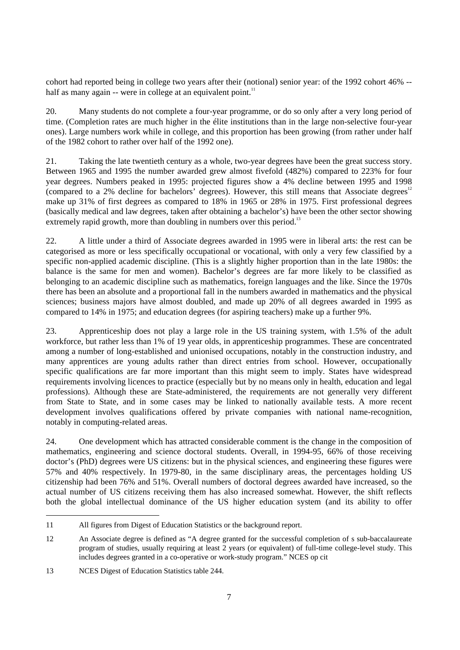cohort had reported being in college two years after their (notional) senior year: of the 1992 cohort 46% - half as many again -- were in college at an equivalent point. $11$ 

20. Many students do not complete a four-year programme, or do so only after a very long period of time. (Completion rates are much higher in the élite institutions than in the large non-selective four-year ones). Large numbers work while in college, and this proportion has been growing (from rather under half of the 1982 cohort to rather over half of the 1992 one).

21. Taking the late twentieth century as a whole, two-year degrees have been the great success story. Between 1965 and 1995 the number awarded grew almost fivefold (482%) compared to 223% for four year degrees. Numbers peaked in 1995: projected figures show a 4% decline between 1995 and 1998 (compared to a 2% decline for bachelors' degrees). However, this still means that Associate degrees $12$ make up 31% of first degrees as compared to 18% in 1965 or 28% in 1975. First professional degrees (basically medical and law degrees, taken after obtaining a bachelor's) have been the other sector showing extremely rapid growth, more than doubling in numbers over this period.<sup>13</sup>

22. A little under a third of Associate degrees awarded in 1995 were in liberal arts: the rest can be categorised as more or less specifically occupational or vocational, with only a very few classified by a specific non-applied academic discipline. (This is a slightly higher proportion than in the late 1980s: the balance is the same for men and women). Bachelor's degrees are far more likely to be classified as belonging to an academic discipline such as mathematics, foreign languages and the like. Since the 1970s there has been an absolute and a proportional fall in the numbers awarded in mathematics and the physical sciences; business majors have almost doubled, and made up 20% of all degrees awarded in 1995 as compared to 14% in 1975; and education degrees (for aspiring teachers) make up a further 9%.

23. Apprenticeship does not play a large role in the US training system, with 1.5% of the adult workforce, but rather less than 1% of 19 year olds, in apprenticeship programmes. These are concentrated among a number of long-established and unionised occupations, notably in the construction industry, and many apprentices are young adults rather than direct entries from school. However, occupationally specific qualifications are far more important than this might seem to imply. States have widespread requirements involving licences to practice (especially but by no means only in health, education and legal professions). Although these are State-administered, the requirements are not generally very different from State to State, and in some cases may be linked to nationally available tests. A more recent development involves qualifications offered by private companies with national name-recognition, notably in computing-related areas.

24. One development which has attracted considerable comment is the change in the composition of mathematics, engineering and science doctoral students. Overall, in 1994-95, 66% of those receiving doctor's (PhD) degrees were US citizens: but in the physical sciences, and engineering these figures were 57% and 40% respectively. In 1979-80, in the same disciplinary areas, the percentages holding US citizenship had been 76% and 51%. Overall numbers of doctoral degrees awarded have increased, so the actual number of US citizens receiving them has also increased somewhat. However, the shift reflects both the global intellectual dominance of the US higher education system (and its ability to offer

<sup>11</sup> All figures from Digest of Education Statistics or the background report.

<sup>12</sup> An Associate degree is defined as "A degree granted for the successful completion of s sub-baccalaureate program of studies, usually requiring at least 2 years (or equivalent) of full-time college-level study. This includes degrees granted in a co-operative or work-study program." NCES op cit

<sup>13</sup> NCES Digest of Education Statistics table 244.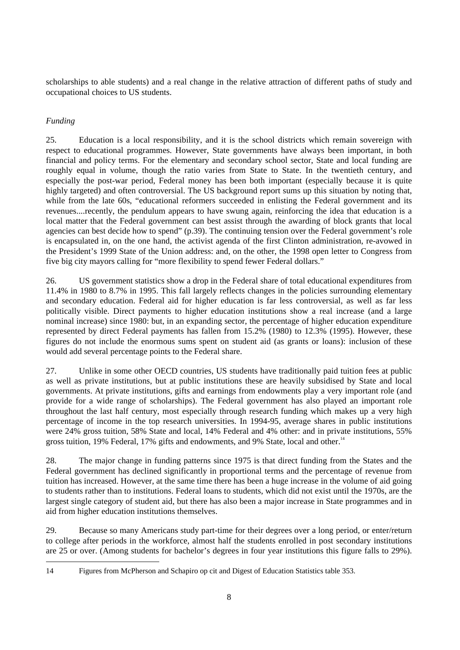scholarships to able students) and a real change in the relative attraction of different paths of study and occupational choices to US students.

# *Funding*

25. Education is a local responsibility, and it is the school districts which remain sovereign with respect to educational programmes. However, State governments have always been important, in both financial and policy terms. For the elementary and secondary school sector, State and local funding are roughly equal in volume, though the ratio varies from State to State. In the twentieth century, and especially the post-war period, Federal money has been both important (especially because it is quite highly targeted) and often controversial. The US background report sums up this situation by noting that, while from the late 60s, "educational reformers succeeded in enlisting the Federal government and its revenues....recently, the pendulum appears to have swung again, reinforcing the idea that education is a local matter that the Federal government can best assist through the awarding of block grants that local agencies can best decide how to spend" (p.39). The continuing tension over the Federal government's role is encapsulated in, on the one hand, the activist agenda of the first Clinton administration, re-avowed in the President's 1999 State of the Union address: and, on the other, the 1998 open letter to Congress from five big city mayors calling for "more flexibility to spend fewer Federal dollars."

26. US government statistics show a drop in the Federal share of total educational expenditures from 11.4% in 1980 to 8.7% in 1995. This fall largely reflects changes in the policies surrounding elementary and secondary education. Federal aid for higher education is far less controversial, as well as far less politically visible. Direct payments to higher education institutions show a real increase (and a large nominal increase) since 1980: but, in an expanding sector, the percentage of higher education expenditure represented by direct Federal payments has fallen from 15.2% (1980) to 12.3% (1995). However, these figures do not include the enormous sums spent on student aid (as grants or loans): inclusion of these would add several percentage points to the Federal share.

27. Unlike in some other OECD countries, US students have traditionally paid tuition fees at public as well as private institutions, but at public institutions these are heavily subsidised by State and local governments. At private institutions, gifts and earnings from endowments play a very important role (and provide for a wide range of scholarships). The Federal government has also played an important role throughout the last half century, most especially through research funding which makes up a very high percentage of income in the top research universities. In 1994-95, average shares in public institutions were 24% gross tuition, 58% State and local, 14% Federal and 4% other: and in private institutions, 55% gross tuition, 19% Federal, 17% gifts and endowments, and 9% State, local and other.<sup>14</sup>

28. The major change in funding patterns since 1975 is that direct funding from the States and the Federal government has declined significantly in proportional terms and the percentage of revenue from tuition has increased. However, at the same time there has been a huge increase in the volume of aid going to students rather than to institutions. Federal loans to students, which did not exist until the 1970s, are the largest single category of student aid, but there has also been a major increase in State programmes and in aid from higher education institutions themselves.

29. Because so many Americans study part-time for their degrees over a long period, or enter/return to college after periods in the workforce, almost half the students enrolled in post secondary institutions are 25 or over. (Among students for bachelor's degrees in four year institutions this figure falls to 29%).

<sup>14</sup> Figures from McPherson and Schapiro op cit and Digest of Education Statistics table 353.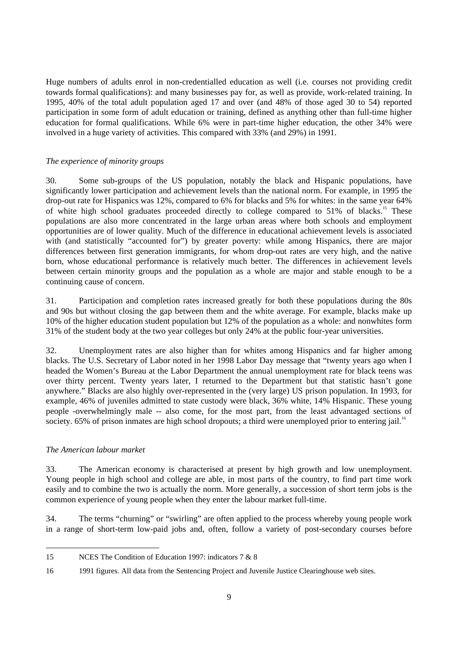Huge numbers of adults enrol in non-credentialled education as well (i.e. courses not providing credit towards formal qualifications): and many businesses pay for, as well as provide, work-related training. In 1995, 40% of the total adult population aged 17 and over (and 48% of those aged 30 to 54) reported participation in some form of adult education or training, defined as anything other than full-time higher education for formal qualifications. While 6% were in part-time higher education, the other 34% were involved in a huge variety of activities. This compared with 33% (and 29%) in 1991.

# *The experience of minority groups*

30. Some sub-groups of the US population, notably the black and Hispanic populations, have significantly lower participation and achievement levels than the national norm. For example, in 1995 the drop-out rate for Hispanics was 12%, compared to 6% for blacks and 5% for whites: in the same year 64% of white high school graduates proceeded directly to college compared to 51% of blacks.<sup>15</sup> These populations are also more concentrated in the large urban areas where both schools and employment opportunities are of lower quality. Much of the difference in educational achievement levels is associated with (and statistically "accounted for") by greater poverty: while among Hispanics, there are major differences between first generation immigrants, for whom drop-out rates are very high, and the native born, whose educational performance is relatively much better. The differences in achievement levels between certain minority groups and the population as a whole are major and stable enough to be a continuing cause of concern.

31. Participation and completion rates increased greatly for both these populations during the 80s and 90s but without closing the gap between them and the white average. For example, blacks make up 10% of the higher education student population but 12% of the population as a whole: and nonwhites form 31% of the student body at the two year colleges but only 24% at the public four-year universities.

32. Unemployment rates are also higher than for whites among Hispanics and far higher among blacks. The U.S. Secretary of Labor noted in her 1998 Labor Day message that "twenty years ago when I headed the Women's Bureau at the Labor Department the annual unemployment rate for black teens was over thirty percent. Twenty years later, I returned to the Department but that statistic hasn't gone anywhere." Blacks are also highly over-represented in the (very large) US prison population. In 1993, for example, 46% of juveniles admitted to state custody were black, 36% white, 14% Hispanic. These young people -overwhelmingly male -- also come, for the most part, from the least advantaged sections of society. 65% of prison inmates are high school dropouts; a third were unemployed prior to entering jail.<sup>16</sup>

# *The American labour market*

33. The American economy is characterised at present by high growth and low unemployment. Young people in high school and college are able, in most parts of the country, to find part time work easily and to combine the two is actually the norm. More generally, a succession of short term jobs is the common experience of young people when they enter the labour market full-time.

34. The terms "churning" or "swirling" are often applied to the process whereby young people work in a range of short-term low-paid jobs and, often, follow a variety of post-secondary courses before

<sup>15</sup> NCES The Condition of Education 1997: indicators 7 & 8

<sup>16 1991</sup> figures. All data from the Sentencing Project and Juvenile Justice Clearinghouse web sites.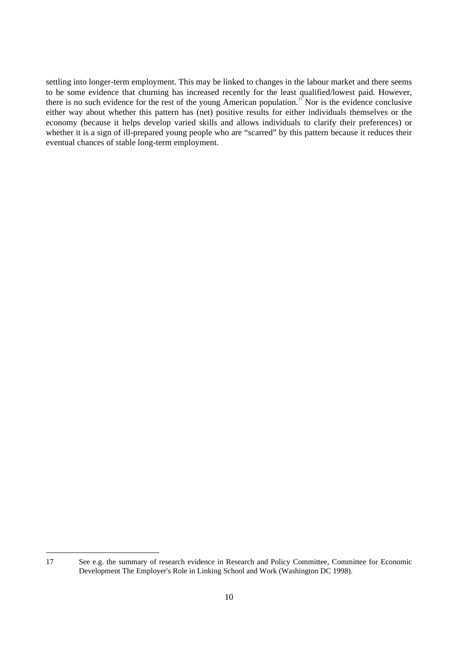settling into longer-term employment. This may be linked to changes in the labour market and there seems to be some evidence that churning has increased recently for the least qualified/lowest paid. However, there is no such evidence for the rest of the young American population.<sup>17</sup> Nor is the evidence conclusive either way about whether this pattern has (net) positive results for either individuals themselves or the economy (because it helps develop varied skills and allows individuals to clarify their preferences) or whether it is a sign of ill-prepared young people who are "scarred" by this pattern because it reduces their eventual chances of stable long-term employment.

<sup>17</sup> See e.g. the summary of research evidence in Research and Policy Committee, Committee for Economic Development The Employer's Role in Linking School and Work (Washington DC 1998).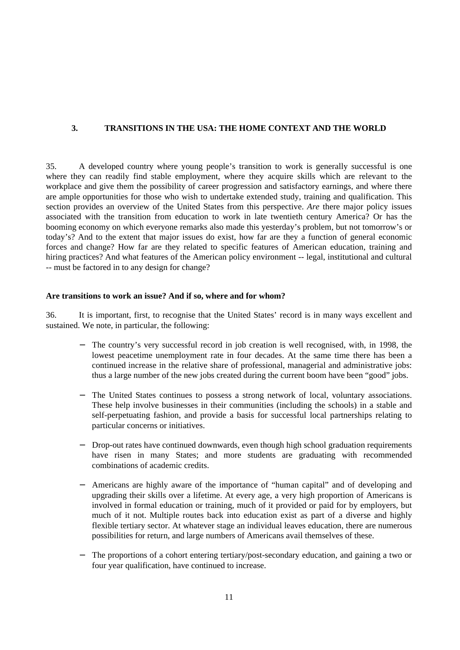# **3. TRANSITIONS IN THE USA: THE HOME CONTEXT AND THE WORLD**

35. A developed country where young people's transition to work is generally successful is one where they can readily find stable employment, where they acquire skills which are relevant to the workplace and give them the possibility of career progression and satisfactory earnings, and where there are ample opportunities for those who wish to undertake extended study, training and qualification. This section provides an overview of the United States from this perspective. *Are* there major policy issues associated with the transition from education to work in late twentieth century America? Or has the booming economy on which everyone remarks also made this yesterday's problem, but not tomorrow's or today's? And to the extent that major issues do exist, how far are they a function of general economic forces and change? How far are they related to specific features of American education, training and hiring practices? And what features of the American policy environment -- legal, institutional and cultural -- must be factored in to any design for change?

# **Are transitions to work an issue? And if so, where and for whom?**

36. It is important, first, to recognise that the United States' record is in many ways excellent and sustained. We note, in particular, the following:

- The country's very successful record in job creation is well recognised, with, in 1998, the lowest peacetime unemployment rate in four decades. At the same time there has been a continued increase in the relative share of professional, managerial and administrative jobs: thus a large number of the new jobs created during the current boom have been "good" jobs.
- The United States continues to possess a strong network of local, voluntary associations. These help involve businesses in their communities (including the schools) in a stable and self-perpetuating fashion, and provide a basis for successful local partnerships relating to particular concerns or initiatives.
- Drop-out rates have continued downwards, even though high school graduation requirements have risen in many States; and more students are graduating with recommended combinations of academic credits.
- − Americans are highly aware of the importance of "human capital" and of developing and upgrading their skills over a lifetime. At every age, a very high proportion of Americans is involved in formal education or training, much of it provided or paid for by employers, but much of it not. Multiple routes back into education exist as part of a diverse and highly flexible tertiary sector. At whatever stage an individual leaves education, there are numerous possibilities for return, and large numbers of Americans avail themselves of these.
- The proportions of a cohort entering tertiary/post-secondary education, and gaining a two or four year qualification, have continued to increase.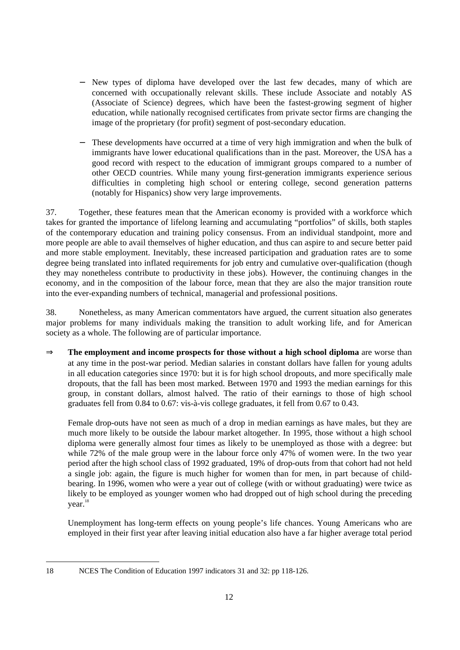- New types of diploma have developed over the last few decades, many of which are concerned with occupationally relevant skills. These include Associate and notably AS (Associate of Science) degrees, which have been the fastest-growing segment of higher education, while nationally recognised certificates from private sector firms are changing the image of the proprietary (for profit) segment of post-secondary education.
- These developments have occurred at a time of very high immigration and when the bulk of immigrants have lower educational qualifications than in the past. Moreover, the USA has a good record with respect to the education of immigrant groups compared to a number of other OECD countries. While many young first-generation immigrants experience serious difficulties in completing high school or entering college, second generation patterns (notably for Hispanics) show very large improvements.

37. Together, these features mean that the American economy is provided with a workforce which takes for granted the importance of lifelong learning and accumulating "portfolios" of skills, both staples of the contemporary education and training policy consensus. From an individual standpoint, more and more people are able to avail themselves of higher education, and thus can aspire to and secure better paid and more stable employment. Inevitably, these increased participation and graduation rates are to some degree being translated into inflated requirements for job entry and cumulative over-qualification (though they may nonetheless contribute to productivity in these jobs). However, the continuing changes in the economy, and in the composition of the labour force, mean that they are also the major transition route into the ever-expanding numbers of technical, managerial and professional positions.

38. Nonetheless, as many American commentators have argued, the current situation also generates major problems for many individuals making the transition to adult working life, and for American society as a whole. The following are of particular importance.

⇒ **The employment and income prospects for those without a high school diploma** are worse than at any time in the post-war period. Median salaries in constant dollars have fallen for young adults in all education categories since 1970: but it is for high school dropouts, and more specifically male dropouts, that the fall has been most marked. Between 1970 and 1993 the median earnings for this group, in constant dollars, almost halved. The ratio of their earnings to those of high school graduates fell from 0.84 to 0.67: vis-à-vis college graduates, it fell from 0.67 to 0.43.

Female drop-outs have not seen as much of a drop in median earnings as have males, but they are much more likely to be outside the labour market altogether. In 1995, those without a high school diploma were generally almost four times as likely to be unemployed as those with a degree: but while 72% of the male group were in the labour force only 47% of women were. In the two year period after the high school class of 1992 graduated, 19% of drop-outs from that cohort had not held a single job: again, the figure is much higher for women than for men, in part because of childbearing. In 1996, women who were a year out of college (with or without graduating) were twice as likely to be employed as younger women who had dropped out of high school during the preceding year.<sup>18</sup>

Unemployment has long-term effects on young people's life chances. Young Americans who are employed in their first year after leaving initial education also have a far higher average total period

<sup>18</sup> NCES The Condition of Education 1997 indicators 31 and 32: pp 118-126.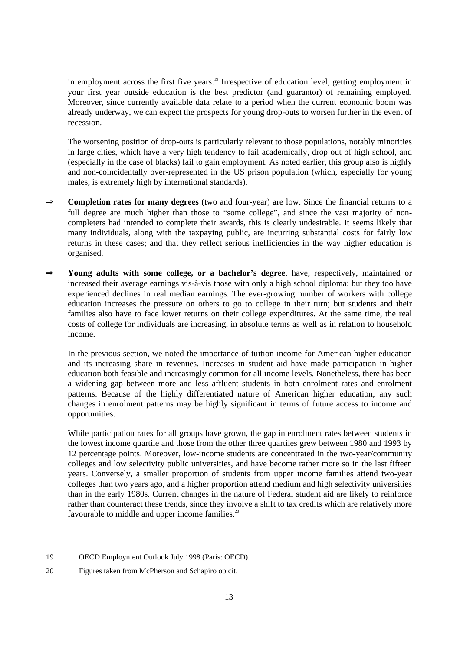in employment across the first five years.<sup>19</sup> Irrespective of education level, getting employment in your first year outside education is the best predictor (and guarantor) of remaining employed. Moreover, since currently available data relate to a period when the current economic boom was already underway, we can expect the prospects for young drop-outs to worsen further in the event of recession.

The worsening position of drop-outs is particularly relevant to those populations, notably minorities in large cities, which have a very high tendency to fail academically, drop out of high school, and (especially in the case of blacks) fail to gain employment. As noted earlier, this group also is highly and non-coincidentally over-represented in the US prison population (which, especially for young males, is extremely high by international standards).

- ⇒ **Completion rates for many degrees** (two and four-year) are low. Since the financial returns to a full degree are much higher than those to "some college", and since the vast majority of noncompleters had intended to complete their awards, this is clearly undesirable. It seems likely that many individuals, along with the taxpaying public, are incurring substantial costs for fairly low returns in these cases; and that they reflect serious inefficiencies in the way higher education is organised.
- ⇒ **Young adults with some college, or a bachelor's degree**, have, respectively, maintained or increased their average earnings vis-à-vis those with only a high school diploma: but they too have experienced declines in real median earnings. The ever-growing number of workers with college education increases the pressure on others to go to college in their turn; but students and their families also have to face lower returns on their college expenditures. At the same time, the real costs of college for individuals are increasing, in absolute terms as well as in relation to household income.

In the previous section, we noted the importance of tuition income for American higher education and its increasing share in revenues. Increases in student aid have made participation in higher education both feasible and increasingly common for all income levels. Nonetheless, there has been a widening gap between more and less affluent students in both enrolment rates and enrolment patterns. Because of the highly differentiated nature of American higher education, any such changes in enrolment patterns may be highly significant in terms of future access to income and opportunities.

While participation rates for all groups have grown, the gap in enrolment rates between students in the lowest income quartile and those from the other three quartiles grew between 1980 and 1993 by 12 percentage points. Moreover, low-income students are concentrated in the two-year/community colleges and low selectivity public universities, and have become rather more so in the last fifteen years. Conversely, a smaller proportion of students from upper income families attend two-year colleges than two years ago, and a higher proportion attend medium and high selectivity universities than in the early 1980s. Current changes in the nature of Federal student aid are likely to reinforce rather than counteract these trends, since they involve a shift to tax credits which are relatively more favourable to middle and upper income families.<sup>20</sup>

<sup>19</sup> OECD Employment Outlook July 1998 (Paris: OECD).

<sup>20</sup> Figures taken from McPherson and Schapiro op cit.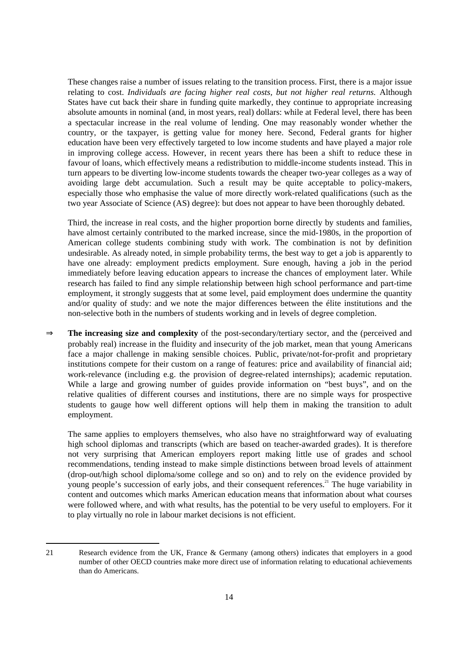These changes raise a number of issues relating to the transition process. First, there is a major issue relating to cost. *Individuals are facing higher real costs, but not higher real returns.* Although States have cut back their share in funding quite markedly, they continue to appropriate increasing absolute amounts in nominal (and, in most years, real) dollars: while at Federal level, there has been a spectacular increase in the real volume of lending. One may reasonably wonder whether the country, or the taxpayer, is getting value for money here. Second, Federal grants for higher education have been very effectively targeted to low income students and have played a major role in improving college access. However, in recent years there has been a shift to reduce these in favour of loans, which effectively means a redistribution to middle-income students instead. This in turn appears to be diverting low-income students towards the cheaper two-year colleges as a way of avoiding large debt accumulation. Such a result may be quite acceptable to policy-makers, especially those who emphasise the value of more directly work-related qualifications (such as the two year Associate of Science (AS) degree): but does not appear to have been thoroughly debated.

Third, the increase in real costs, and the higher proportion borne directly by students and families, have almost certainly contributed to the marked increase, since the mid-1980s, in the proportion of American college students combining study with work. The combination is not by definition undesirable. As already noted, in simple probability terms, the best way to get a job is apparently to have one already: employment predicts employment. Sure enough, having a job in the period immediately before leaving education appears to increase the chances of employment later. While research has failed to find any simple relationship between high school performance and part-time employment, it strongly suggests that at some level, paid employment does undermine the quantity and/or quality of study: and we note the major differences between the élite institutions and the non-selective both in the numbers of students working and in levels of degree completion.

⇒ **The increasing size and complexity** of the post-secondary/tertiary sector, and the (perceived and probably real) increase in the fluidity and insecurity of the job market, mean that young Americans face a major challenge in making sensible choices. Public, private/not-for-profit and proprietary institutions compete for their custom on a range of features: price and availability of financial aid; work-relevance (including e.g. the provision of degree-related internships); academic reputation. While a large and growing number of guides provide information on "best buys", and on the relative qualities of different courses and institutions, there are no simple ways for prospective students to gauge how well different options will help them in making the transition to adult employment.

The same applies to employers themselves, who also have no straightforward way of evaluating high school diplomas and transcripts (which are based on teacher-awarded grades). It is therefore not very surprising that American employers report making little use of grades and school recommendations, tending instead to make simple distinctions between broad levels of attainment (drop-out/high school diploma/some college and so on) and to rely on the evidence provided by young people's succession of early jobs, and their consequent references.<sup>21</sup> The huge variability in content and outcomes which marks American education means that information about what courses were followed where, and with what results, has the potential to be very useful to employers. For it to play virtually no role in labour market decisions is not efficient.

<sup>21</sup> Research evidence from the UK, France & Germany (among others) indicates that employers in a good number of other OECD countries make more direct use of information relating to educational achievements than do Americans.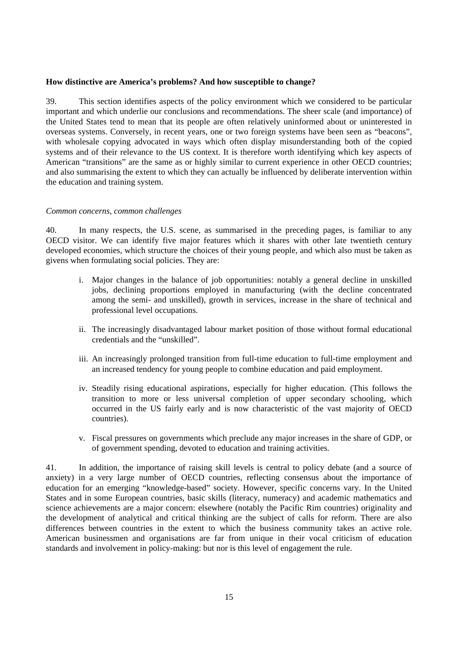#### **How distinctive are America's problems? And how susceptible to change?**

39. This section identifies aspects of the policy environment which we considered to be particular important and which underlie our conclusions and recommendations. The sheer scale (and importance) of the United States tend to mean that its people are often relatively uninformed about or uninterested in overseas systems. Conversely, in recent years, one or two foreign systems have been seen as "beacons", with wholesale copying advocated in ways which often display misunderstanding both of the copied systems and of their relevance to the US context. It is therefore worth identifying which key aspects of American "transitions" are the same as or highly similar to current experience in other OECD countries; and also summarising the extent to which they can actually be influenced by deliberate intervention within the education and training system.

#### *Common concerns, common challenges*

40. In many respects, the U.S. scene, as summarised in the preceding pages, is familiar to any OECD visitor. We can identify five major features which it shares with other late twentieth century developed economies, which structure the choices of their young people, and which also must be taken as givens when formulating social policies. They are:

- i. Major changes in the balance of job opportunities: notably a general decline in unskilled jobs, declining proportions employed in manufacturing (with the decline concentrated among the semi- and unskilled), growth in services, increase in the share of technical and professional level occupations.
- ii. The increasingly disadvantaged labour market position of those without formal educational credentials and the "unskilled".
- iii. An increasingly prolonged transition from full-time education to full-time employment and an increased tendency for young people to combine education and paid employment.
- iv. Steadily rising educational aspirations, especially for higher education. (This follows the transition to more or less universal completion of upper secondary schooling, which occurred in the US fairly early and is now characteristic of the vast majority of OECD countries).
- v. Fiscal pressures on governments which preclude any major increases in the share of GDP, or of government spending, devoted to education and training activities.

41. In addition, the importance of raising skill levels is central to policy debate (and a source of anxiety) in a very large number of OECD countries, reflecting consensus about the importance of education for an emerging "knowledge-based" society. However, specific concerns vary. In the United States and in some European countries, basic skills (literacy, numeracy) and academic mathematics and science achievements are a major concern: elsewhere (notably the Pacific Rim countries) originality and the development of analytical and critical thinking are the subject of calls for reform. There are also differences between countries in the extent to which the business community takes an active role. American businessmen and organisations are far from unique in their vocal criticism of education standards and involvement in policy-making: but nor is this level of engagement the rule.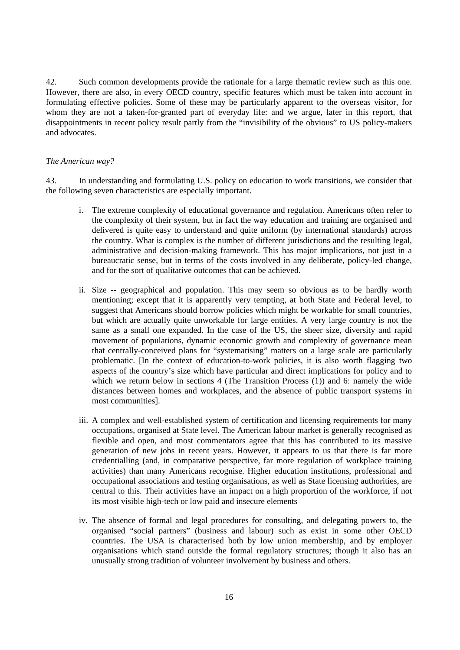42. Such common developments provide the rationale for a large thematic review such as this one. However, there are also, in every OECD country, specific features which must be taken into account in formulating effective policies. Some of these may be particularly apparent to the overseas visitor, for whom they are not a taken-for-granted part of everyday life: and we argue, later in this report, that disappointments in recent policy result partly from the "invisibility of the obvious" to US policy-makers and advocates.

#### *The American way?*

43. In understanding and formulating U.S. policy on education to work transitions, we consider that the following seven characteristics are especially important.

- i. The extreme complexity of educational governance and regulation. Americans often refer to the complexity of their system, but in fact the way education and training are organised and delivered is quite easy to understand and quite uniform (by international standards) across the country. What is complex is the number of different jurisdictions and the resulting legal, administrative and decision-making framework. This has major implications, not just in a bureaucratic sense, but in terms of the costs involved in any deliberate, policy-led change, and for the sort of qualitative outcomes that can be achieved.
- ii. Size -- geographical and population. This may seem so obvious as to be hardly worth mentioning; except that it is apparently very tempting, at both State and Federal level, to suggest that Americans should borrow policies which might be workable for small countries, but which are actually quite unworkable for large entities. A very large country is not the same as a small one expanded. In the case of the US, the sheer size, diversity and rapid movement of populations, dynamic economic growth and complexity of governance mean that centrally-conceived plans for "systematising" matters on a large scale are particularly problematic. [In the context of education-to-work policies, it is also worth flagging two aspects of the country's size which have particular and direct implications for policy and to which we return below in sections 4 (The Transition Process (1)) and 6: namely the wide distances between homes and workplaces, and the absence of public transport systems in most communities].
- iii. A complex and well-established system of certification and licensing requirements for many occupations, organised at State level. The American labour market is generally recognised as flexible and open, and most commentators agree that this has contributed to its massive generation of new jobs in recent years. However, it appears to us that there is far more credentialling (and, in comparative perspective, far more regulation of workplace training activities) than many Americans recognise. Higher education institutions, professional and occupational associations and testing organisations, as well as State licensing authorities, are central to this. Their activities have an impact on a high proportion of the workforce, if not its most visible high-tech or low paid and insecure elements
- iv. The absence of formal and legal procedures for consulting, and delegating powers to, the organised "social partners" (business and labour) such as exist in some other OECD countries. The USA is characterised both by low union membership, and by employer organisations which stand outside the formal regulatory structures; though it also has an unusually strong tradition of volunteer involvement by business and others.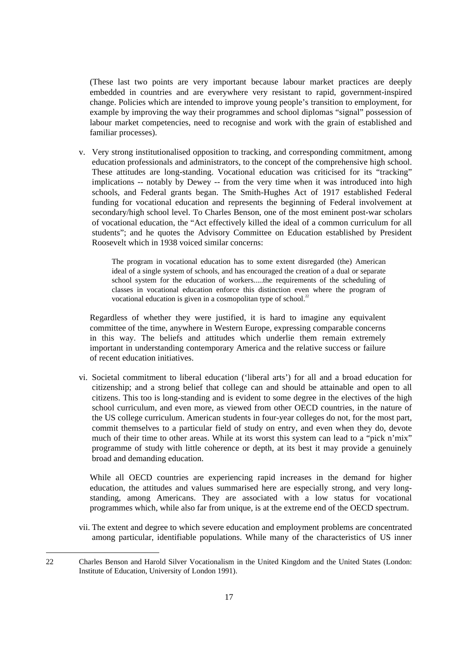(These last two points are very important because labour market practices are deeply embedded in countries and are everywhere very resistant to rapid, government-inspired change. Policies which are intended to improve young people's transition to employment, for example by improving the way their programmes and school diplomas "signal" possession of labour market competencies, need to recognise and work with the grain of established and familiar processes).

v. Very strong institutionalised opposition to tracking, and corresponding commitment, among education professionals and administrators, to the concept of the comprehensive high school. These attitudes are long-standing. Vocational education was criticised for its "tracking" implications -- notably by Dewey -- from the very time when it was introduced into high schools, and Federal grants began. The Smith-Hughes Act of 1917 established Federal funding for vocational education and represents the beginning of Federal involvement at secondary/high school level. To Charles Benson, one of the most eminent post-war scholars of vocational education, the "Act effectively killed the ideal of a common curriculum for all students"; and he quotes the Advisory Committee on Education established by President Roosevelt which in 1938 voiced similar concerns:

The program in vocational education has to some extent disregarded (the) American ideal of a single system of schools, and has encouraged the creation of a dual or separate school system for the education of workers.....the requirements of the scheduling of classes in vocational education enforce this distinction even where the program of vocational education is given in a cosmopolitan type of school.<sup>22</sup>

Regardless of whether they were justified, it is hard to imagine any equivalent committee of the time, anywhere in Western Europe, expressing comparable concerns in this way. The beliefs and attitudes which underlie them remain extremely important in understanding contemporary America and the relative success or failure of recent education initiatives.

vi. Societal commitment to liberal education ('liberal arts') for all and a broad education for citizenship; and a strong belief that college can and should be attainable and open to all citizens. This too is long-standing and is evident to some degree in the electives of the high school curriculum, and even more, as viewed from other OECD countries, in the nature of the US college curriculum. American students in four-year colleges do not, for the most part, commit themselves to a particular field of study on entry, and even when they do, devote much of their time to other areas. While at its worst this system can lead to a "pick n'mix" programme of study with little coherence or depth, at its best it may provide a genuinely broad and demanding education.

While all OECD countries are experiencing rapid increases in the demand for higher education, the attitudes and values summarised here are especially strong, and very longstanding, among Americans. They are associated with a low status for vocational programmes which, while also far from unique, is at the extreme end of the OECD spectrum.

vii. The extent and degree to which severe education and employment problems are concentrated among particular, identifiable populations. While many of the characteristics of US inner

<sup>22</sup> Charles Benson and Harold Silver Vocationalism in the United Kingdom and the United States (London: Institute of Education, University of London 1991).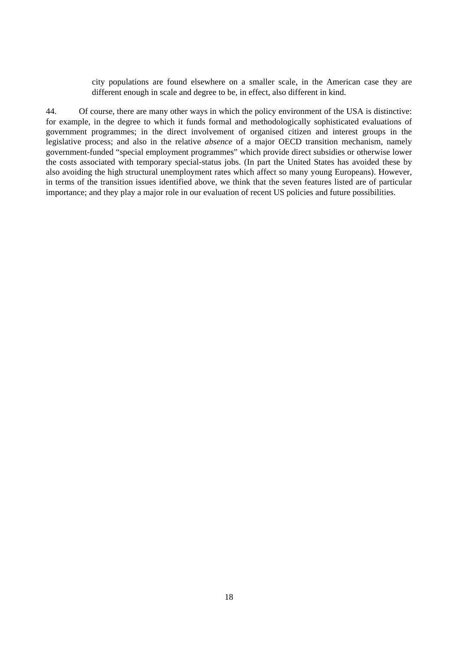city populations are found elsewhere on a smaller scale, in the American case they are different enough in scale and degree to be, in effect, also different in kind.

44. Of course, there are many other ways in which the policy environment of the USA is distinctive: for example, in the degree to which it funds formal and methodologically sophisticated evaluations of government programmes; in the direct involvement of organised citizen and interest groups in the legislative process; and also in the relative *absence* of a major OECD transition mechanism, namely government-funded "special employment programmes" which provide direct subsidies or otherwise lower the costs associated with temporary special-status jobs. (In part the United States has avoided these by also avoiding the high structural unemployment rates which affect so many young Europeans). However, in terms of the transition issues identified above, we think that the seven features listed are of particular importance; and they play a major role in our evaluation of recent US policies and future possibilities.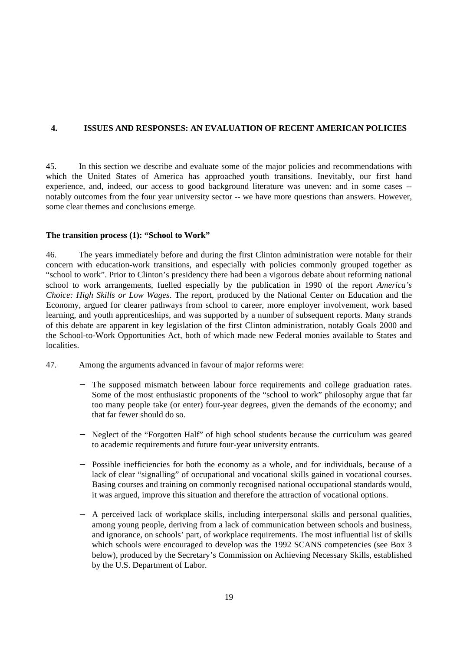# **4. ISSUES AND RESPONSES: AN EVALUATION OF RECENT AMERICAN POLICIES**

45. In this section we describe and evaluate some of the major policies and recommendations with which the United States of America has approached youth transitions. Inevitably, our first hand experience, and, indeed, our access to good background literature was uneven: and in some cases - notably outcomes from the four year university sector -- we have more questions than answers. However, some clear themes and conclusions emerge.

# **The transition process (1): "School to Work"**

46. The years immediately before and during the first Clinton administration were notable for their concern with education-work transitions, and especially with policies commonly grouped together as "school to work". Prior to Clinton's presidency there had been a vigorous debate about reforming national school to work arrangements, fuelled especially by the publication in 1990 of the report *America's Choice: High Skills or Low Wages*. The report, produced by the National Center on Education and the Economy, argued for clearer pathways from school to career, more employer involvement, work based learning, and youth apprenticeships, and was supported by a number of subsequent reports. Many strands of this debate are apparent in key legislation of the first Clinton administration, notably Goals 2000 and the School-to-Work Opportunities Act, both of which made new Federal monies available to States and localities.

- 47. Among the arguments advanced in favour of major reforms were:
	- The supposed mismatch between labour force requirements and college graduation rates. Some of the most enthusiastic proponents of the "school to work" philosophy argue that far too many people take (or enter) four-year degrees, given the demands of the economy; and that far fewer should do so.
	- Neglect of the "Forgotten Half" of high school students because the curriculum was geared to academic requirements and future four-year university entrants.
	- Possible inefficiencies for both the economy as a whole, and for individuals, because of a lack of clear "signalling" of occupational and vocational skills gained in vocational courses. Basing courses and training on commonly recognised national occupational standards would, it was argued, improve this situation and therefore the attraction of vocational options.
	- A perceived lack of workplace skills, including interpersonal skills and personal qualities, among young people, deriving from a lack of communication between schools and business, and ignorance, on schools' part, of workplace requirements. The most influential list of skills which schools were encouraged to develop was the 1992 SCANS competencies (see Box 3 below), produced by the Secretary's Commission on Achieving Necessary Skills, established by the U.S. Department of Labor.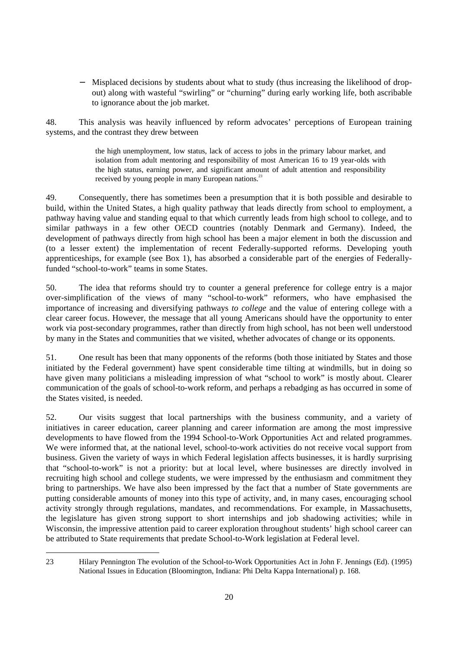Misplaced decisions by students about what to study (thus increasing the likelihood of dropout) along with wasteful "swirling" or "churning" during early working life, both ascribable to ignorance about the job market.

48. This analysis was heavily influenced by reform advocates' perceptions of European training systems, and the contrast they drew between

> the high unemployment, low status, lack of access to jobs in the primary labour market, and isolation from adult mentoring and responsibility of most American 16 to 19 year-olds with the high status, earning power, and significant amount of adult attention and responsibility received by young people in many European nations.<sup>23</sup>

49. Consequently, there has sometimes been a presumption that it is both possible and desirable to build, within the United States, a high quality pathway that leads directly from school to employment, a pathway having value and standing equal to that which currently leads from high school to college, and to similar pathways in a few other OECD countries (notably Denmark and Germany). Indeed, the development of pathways directly from high school has been a major element in both the discussion and (to a lesser extent) the implementation of recent Federally-supported reforms. Developing youth apprenticeships, for example (see Box 1), has absorbed a considerable part of the energies of Federallyfunded "school-to-work" teams in some States.

50. The idea that reforms should try to counter a general preference for college entry is a major over-simplification of the views of many "school-to-work" reformers, who have emphasised the importance of increasing and diversifying pathways *to college* and the value of entering college with a clear career focus. However, the message that all young Americans should have the opportunity to enter work via post-secondary programmes, rather than directly from high school, has not been well understood by many in the States and communities that we visited, whether advocates of change or its opponents.

51. One result has been that many opponents of the reforms (both those initiated by States and those initiated by the Federal government) have spent considerable time tilting at windmills, but in doing so have given many politicians a misleading impression of what "school to work" is mostly about. Clearer communication of the goals of school-to-work reform, and perhaps a rebadging as has occurred in some of the States visited, is needed.

52. Our visits suggest that local partnerships with the business community, and a variety of initiatives in career education, career planning and career information are among the most impressive developments to have flowed from the 1994 School-to-Work Opportunities Act and related programmes. We were informed that, at the national level, school-to-work activities do not receive vocal support from business. Given the variety of ways in which Federal legislation affects businesses, it is hardly surprising that "school-to-work" is not a priority: but at local level, where businesses are directly involved in recruiting high school and college students, we were impressed by the enthusiasm and commitment they bring to partnerships. We have also been impressed by the fact that a number of State governments are putting considerable amounts of money into this type of activity, and, in many cases, encouraging school activity strongly through regulations, mandates, and recommendations. For example, in Massachusetts, the legislature has given strong support to short internships and job shadowing activities; while in Wisconsin, the impressive attention paid to career exploration throughout students' high school career can be attributed to State requirements that predate School-to-Work legislation at Federal level.

<sup>23</sup> Hilary Pennington The evolution of the School-to-Work Opportunities Act in John F. Jennings (Ed). (1995) National Issues in Education (Bloomington, Indiana: Phi Delta Kappa International) p. 168.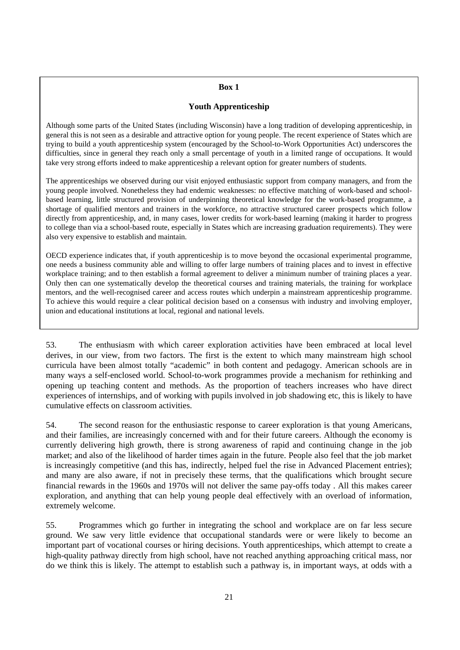# **Box 1**

#### **Youth Apprenticeship**

Although some parts of the United States (including Wisconsin) have a long tradition of developing apprenticeship, in general this is not seen as a desirable and attractive option for young people. The recent experience of States which are trying to build a youth apprenticeship system (encouraged by the School-to-Work Opportunities Act) underscores the difficulties, since in general they reach only a small percentage of youth in a limited range of occupations. It would take very strong efforts indeed to make apprenticeship a relevant option for greater numbers of students.

The apprenticeships we observed during our visit enjoyed enthusiastic support from company managers, and from the young people involved. Nonetheless they had endemic weaknesses: no effective matching of work-based and schoolbased learning, little structured provision of underpinning theoretical knowledge for the work-based programme, a shortage of qualified mentors and trainers in the workforce, no attractive structured career prospects which follow directly from apprenticeship, and, in many cases, lower credits for work-based learning (making it harder to progress to college than via a school-based route, especially in States which are increasing graduation requirements). They were also very expensive to establish and maintain.

OECD experience indicates that, if youth apprenticeship is to move beyond the occasional experimental programme, one needs a business community able and willing to offer large numbers of training places and to invest in effective workplace training; and to then establish a formal agreement to deliver a minimum number of training places a year. Only then can one systematically develop the theoretical courses and training materials, the training for workplace mentors, and the well-recognised career and access routes which underpin a mainstream apprenticeship programme. To achieve this would require a clear political decision based on a consensus with industry and involving employer, union and educational institutions at local, regional and national levels.

53. The enthusiasm with which career exploration activities have been embraced at local level derives, in our view, from two factors. The first is the extent to which many mainstream high school curricula have been almost totally "academic" in both content and pedagogy. American schools are in many ways a self-enclosed world. School-to-work programmes provide a mechanism for rethinking and opening up teaching content and methods. As the proportion of teachers increases who have direct experiences of internships, and of working with pupils involved in job shadowing etc, this is likely to have cumulative effects on classroom activities.

54. The second reason for the enthusiastic response to career exploration is that young Americans, and their families, are increasingly concerned with and for their future careers. Although the economy is currently delivering high growth, there is strong awareness of rapid and continuing change in the job market; and also of the likelihood of harder times again in the future. People also feel that the job market is increasingly competitive (and this has, indirectly, helped fuel the rise in Advanced Placement entries); and many are also aware, if not in precisely these terms, that the qualifications which brought secure financial rewards in the 1960s and 1970s will not deliver the same pay-offs today . All this makes career exploration, and anything that can help young people deal effectively with an overload of information, extremely welcome.

55. Programmes which go further in integrating the school and workplace are on far less secure ground. We saw very little evidence that occupational standards were or were likely to become an important part of vocational courses or hiring decisions. Youth apprenticeships, which attempt to create a high-quality pathway directly from high school, have not reached anything approaching critical mass, nor do we think this is likely. The attempt to establish such a pathway is, in important ways, at odds with a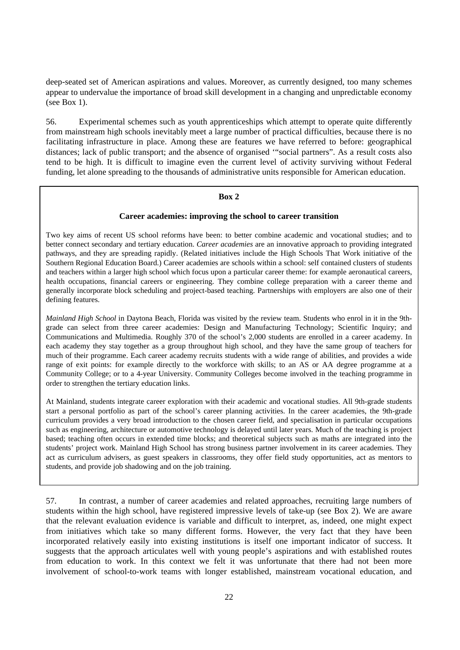deep-seated set of American aspirations and values. Moreover, as currently designed, too many schemes appear to undervalue the importance of broad skill development in a changing and unpredictable economy (see Box 1).

56. Experimental schemes such as youth apprenticeships which attempt to operate quite differently from mainstream high schools inevitably meet a large number of practical difficulties, because there is no facilitating infrastructure in place. Among these are features we have referred to before: geographical distances; lack of public transport; and the absence of organised '"social partners". As a result costs also tend to be high. It is difficult to imagine even the current level of activity surviving without Federal funding, let alone spreading to the thousands of administrative units responsible for American education.

#### **Box 2**

#### **Career academies: improving the school to career transition**

Two key aims of recent US school reforms have been: to better combine academic and vocational studies; and to better connect secondary and tertiary education. *Career academies* are an innovative approach to providing integrated pathways, and they are spreading rapidly. (Related initiatives include the High Schools That Work initiative of the Southern Regional Education Board.) Career academies are schools within a school: self contained clusters of students and teachers within a larger high school which focus upon a particular career theme: for example aeronautical careers, health occupations, financial careers or engineering. They combine college preparation with a career theme and generally incorporate block scheduling and project-based teaching. Partnerships with employers are also one of their defining features.

*Mainland High School* in Daytona Beach, Florida was visited by the review team. Students who enrol in it in the 9thgrade can select from three career academies: Design and Manufacturing Technology; Scientific Inquiry; and Communications and Multimedia. Roughly 370 of the school's 2,000 students are enrolled in a career academy. In each academy they stay together as a group throughout high school, and they have the same group of teachers for much of their programme. Each career academy recruits students with a wide range of abilities, and provides a wide range of exit points: for example directly to the workforce with skills; to an AS or AA degree programme at a Community College; or to a 4-year University. Community Colleges become involved in the teaching programme in order to strengthen the tertiary education links.

At Mainland, students integrate career exploration with their academic and vocational studies. All 9th-grade students start a personal portfolio as part of the school's career planning activities. In the career academies, the 9th-grade curriculum provides a very broad introduction to the chosen career field, and specialisation in particular occupations such as engineering, architecture or automotive technology is delayed until later years. Much of the teaching is project based; teaching often occurs in extended time blocks; and theoretical subjects such as maths are integrated into the students' project work. Mainland High School has strong business partner involvement in its career academies. They act as curriculum advisers, as guest speakers in classrooms, they offer field study opportunities, act as mentors to students, and provide job shadowing and on the job training.

57. In contrast, a number of career academies and related approaches, recruiting large numbers of students within the high school, have registered impressive levels of take-up (see Box 2). We are aware that the relevant evaluation evidence is variable and difficult to interpret, as, indeed, one might expect from initiatives which take so many different forms. However, the very fact that they have been incorporated relatively easily into existing institutions is itself one important indicator of success. It suggests that the approach articulates well with young people's aspirations and with established routes from education to work. In this context we felt it was unfortunate that there had not been more involvement of school-to-work teams with longer established, mainstream vocational education, and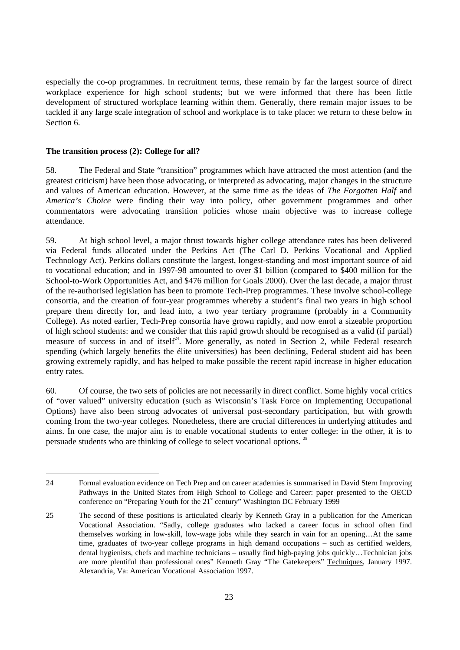especially the co-op programmes. In recruitment terms, these remain by far the largest source of direct workplace experience for high school students; but we were informed that there has been little development of structured workplace learning within them. Generally, there remain major issues to be tackled if any large scale integration of school and workplace is to take place: we return to these below in Section 6.

#### **The transition process (2): College for all?**

58. The Federal and State "transition" programmes which have attracted the most attention (and the greatest criticism) have been those advocating, or interpreted as advocating, major changes in the structure and values of American education. However, at the same time as the ideas of *The Forgotten Half* and *America's Choice* were finding their way into policy, other government programmes and other commentators were advocating transition policies whose main objective was to increase college attendance.

59. At high school level, a major thrust towards higher college attendance rates has been delivered via Federal funds allocated under the Perkins Act (The Carl D. Perkins Vocational and Applied Technology Act). Perkins dollars constitute the largest, longest-standing and most important source of aid to vocational education; and in 1997-98 amounted to over \$1 billion (compared to \$400 million for the School-to-Work Opportunities Act, and \$476 million for Goals 2000). Over the last decade, a major thrust of the re-authorised legislation has been to promote Tech-Prep programmes. These involve school-college consortia, and the creation of four-year programmes whereby a student's final two years in high school prepare them directly for, and lead into, a two year tertiary programme (probably in a Community College). As noted earlier, Tech-Prep consortia have grown rapidly, and now enrol a sizeable proportion of high school students: and we consider that this rapid growth should be recognised as a valid (if partial) measure of success in and of itself<sup>24</sup>. More generally, as noted in Section 2, while Federal research spending (which largely benefits the élite universities) has been declining, Federal student aid has been growing extremely rapidly, and has helped to make possible the recent rapid increase in higher education entry rates.

60. Of course, the two sets of policies are not necessarily in direct conflict. Some highly vocal critics of "over valued" university education (such as Wisconsin's Task Force on Implementing Occupational Options) have also been strong advocates of universal post-secondary participation, but with growth coming from the two-year colleges. Nonetheless, there are crucial differences in underlying attitudes and aims. In one case, the major aim is to enable vocational students to enter college: in the other, it is to persuade students who are thinking of college to select vocational options. <sup>25</sup>

<sup>24</sup> Formal evaluation evidence on Tech Prep and on career academies is summarised in David Stern Improving Pathways in the United States from High School to College and Career: paper presented to the OECD conference on "Preparing Youth for the  $21^{\text{st}}$  century" Washington DC February 1999

<sup>25</sup> The second of these positions is articulated clearly by Kenneth Gray in a publication for the American Vocational Association. "Sadly, college graduates who lacked a career focus in school often find themselves working in low-skill, low-wage jobs while they search in vain for an opening…At the same time, graduates of two-year college programs in high demand occupations – such as certified welders, dental hygienists, chefs and machine technicians – usually find high-paying jobs quickly…Technician jobs are more plentiful than professional ones" Kenneth Gray "The Gatekeepers" Techniques, January 1997. Alexandria, Va: American Vocational Association 1997.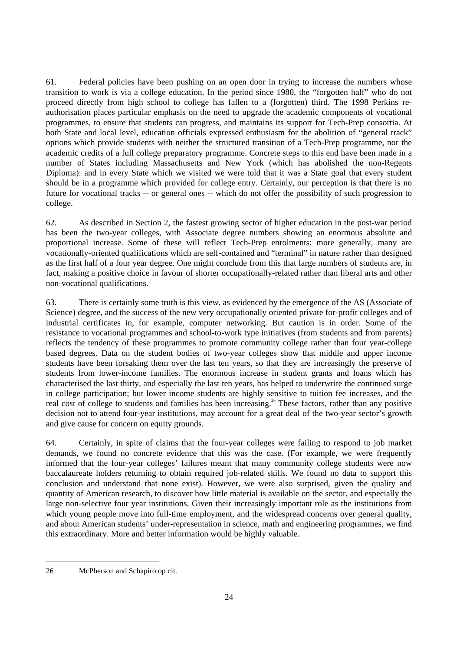61. Federal policies have been pushing on an open door in trying to increase the numbers whose transition to work is via a college education. In the period since 1980, the "forgotten half" who do not proceed directly from high school to college has fallen to a (forgotten) third. The 1998 Perkins reauthorisation places particular emphasis on the need to upgrade the academic components of vocational programmes, to ensure that students can progress, and maintains its support for Tech-Prep consortia. At both State and local level, education officials expressed enthusiasm for the abolition of "general track" options which provide students with neither the structured transition of a Tech-Prep programme, nor the academic credits of a full college preparatory programme. Concrete steps to this end have been made in a number of States including Massachusetts and New York (which has abolished the non-Regents Diploma): and in every State which we visited we were told that it was a State goal that every student should be in a programme which provided for college entry. Certainly, our perception is that there is no future for vocational tracks -- or general ones -- which do not offer the possibility of such progression to college.

62. As described in Section 2, the fastest growing sector of higher education in the post-war period has been the two-year colleges, with Associate degree numbers showing an enormous absolute and proportional increase. Some of these will reflect Tech-Prep enrolments: more generally, many are vocationally-oriented qualifications which are self-contained and "terminal" in nature rather than designed as the first half of a four year degree. One might conclude from this that large numbers of students are, in fact, making a positive choice in favour of shorter occupationally-related rather than liberal arts and other non-vocational qualifications.

63. There is certainly some truth is this view, as evidenced by the emergence of the AS (Associate of Science) degree, and the success of the new very occupationally oriented private for-profit colleges and of industrial certificates in, for example, computer networking. But caution is in order. Some of the resistance to vocational programmes and school-to-work type initiatives (from students and from parents) reflects the tendency of these programmes to promote community college rather than four year-college based degrees. Data on the student bodies of two-year colleges show that middle and upper income students have been forsaking them over the last ten years, so that they are increasingly the preserve of students from lower-income families. The enormous increase in student grants and loans which has characterised the last thirty, and especially the last ten years, has helped to underwrite the continued surge in college participation; but lower income students are highly sensitive to tuition fee increases, and the real cost of college to students and families has been increasing.<sup>26</sup> These factors, rather than any positive decision not to attend four-year institutions, may account for a great deal of the two-year sector's growth and give cause for concern on equity grounds.

64. Certainly, in spite of claims that the four-year colleges were failing to respond to job market demands, we found no concrete evidence that this was the case. (For example, we were frequently informed that the four-year colleges' failures meant that many community college students were now baccalaureate holders returning to obtain required job-related skills. We found no data to support this conclusion and understand that none exist). However, we were also surprised, given the quality and quantity of American research, to discover how little material is available on the sector, and especially the large non-selective four year institutions. Given their increasingly important role as the institutions from which young people move into full-time employment, and the widespread concerns over general quality, and about American students' under-representation in science, math and engineering programmes, we find this extraordinary. More and better information would be highly valuable.

<sup>26</sup> McPherson and Schapiro op cit.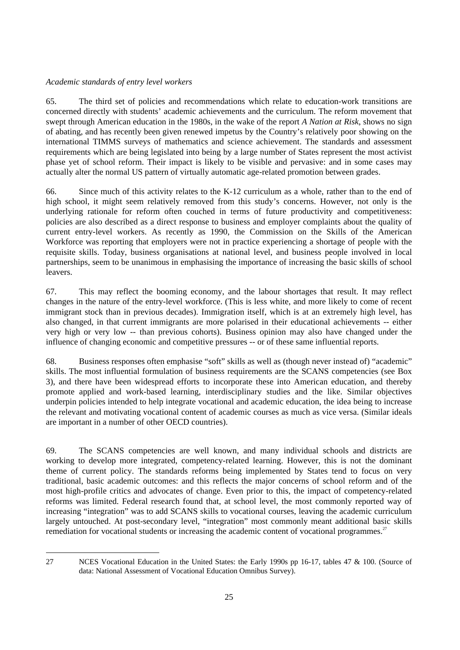#### *Academic standards of entry level workers*

65. The third set of policies and recommendations which relate to education-work transitions are concerned directly with students' academic achievements and the curriculum. The reform movement that swept through American education in the 1980s, in the wake of the report *A Nation at Risk*, shows no sign of abating, and has recently been given renewed impetus by the Country's relatively poor showing on the international TIMMS surveys of mathematics and science achievement. The standards and assessment requirements which are being legislated into being by a large number of States represent the most activist phase yet of school reform. Their impact is likely to be visible and pervasive: and in some cases may actually alter the normal US pattern of virtually automatic age-related promotion between grades.

66. Since much of this activity relates to the K-12 curriculum as a whole, rather than to the end of high school, it might seem relatively removed from this study's concerns. However, not only is the underlying rationale for reform often couched in terms of future productivity and competitiveness: policies are also described as a direct response to business and employer complaints about the quality of current entry-level workers. As recently as 1990, the Commission on the Skills of the American Workforce was reporting that employers were not in practice experiencing a shortage of people with the requisite skills. Today, business organisations at national level, and business people involved in local partnerships, seem to be unanimous in emphasising the importance of increasing the basic skills of school leavers.

67. This may reflect the booming economy, and the labour shortages that result. It may reflect changes in the nature of the entry-level workforce. (This is less white, and more likely to come of recent immigrant stock than in previous decades). Immigration itself, which is at an extremely high level, has also changed, in that current immigrants are more polarised in their educational achievements -- either very high or very low -- than previous cohorts). Business opinion may also have changed under the influence of changing economic and competitive pressures -- or of these same influential reports.

68. Business responses often emphasise "soft" skills as well as (though never instead of) "academic" skills. The most influential formulation of business requirements are the SCANS competencies (see Box 3), and there have been widespread efforts to incorporate these into American education, and thereby promote applied and work-based learning, interdisciplinary studies and the like. Similar objectives underpin policies intended to help integrate vocational and academic education, the idea being to increase the relevant and motivating vocational content of academic courses as much as vice versa. (Similar ideals are important in a number of other OECD countries).

69. The SCANS competencies are well known, and many individual schools and districts are working to develop more integrated, competency-related learning. However, this is not the dominant theme of current policy. The standards reforms being implemented by States tend to focus on very traditional, basic academic outcomes: and this reflects the major concerns of school reform and of the most high-profile critics and advocates of change. Even prior to this, the impact of competency-related reforms was limited. Federal research found that, at school level, the most commonly reported way of increasing "integration" was to add SCANS skills to vocational courses, leaving the academic curriculum largely untouched. At post-secondary level, "integration" most commonly meant additional basic skills remediation for vocational students or increasing the academic content of vocational programmes.<sup>27</sup>

<sup>27</sup> NCES Vocational Education in the United States: the Early 1990s pp 16-17, tables 47 & 100. (Source of data: National Assessment of Vocational Education Omnibus Survey).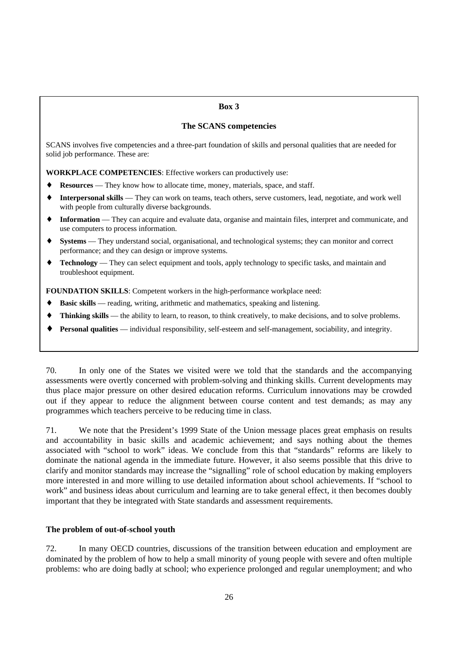#### **Box 3**

#### **The SCANS competencies**

SCANS involves five competencies and a three-part foundation of skills and personal qualities that are needed for solid job performance. These are:

**WORKPLACE COMPETENCIES**: Effective workers can productively use:

- **Resources** They know how to allocate time, money, materials, space, and staff.
- ♦ **Interpersonal skills** They can work on teams, teach others, serve customers, lead, negotiate, and work well with people from culturally diverse backgrounds.
- ♦ **Information** They can acquire and evaluate data, organise and maintain files, interpret and communicate, and use computers to process information.
- ♦ **Systems** They understand social, organisational, and technological systems; they can monitor and correct performance; and they can design or improve systems.
- ♦ **Technology** They can select equipment and tools, apply technology to specific tasks, and maintain and troubleshoot equipment.

**FOUNDATION SKILLS**: Competent workers in the high-performance workplace need:

- ♦ **Basic skills** reading, writing, arithmetic and mathematics, speaking and listening.
- **Thinking skills** the ability to learn, to reason, to think creatively, to make decisions, and to solve problems.
- **Personal qualities** individual responsibility, self-esteem and self-management, sociability, and integrity.

70. In only one of the States we visited were we told that the standards and the accompanying assessments were overtly concerned with problem-solving and thinking skills. Current developments may thus place major pressure on other desired education reforms. Curriculum innovations may be crowded out if they appear to reduce the alignment between course content and test demands; as may any programmes which teachers perceive to be reducing time in class.

71. We note that the President's 1999 State of the Union message places great emphasis on results and accountability in basic skills and academic achievement; and says nothing about the themes associated with "school to work" ideas. We conclude from this that "standards" reforms are likely to dominate the national agenda in the immediate future. However, it also seems possible that this drive to clarify and monitor standards may increase the "signalling" role of school education by making employers more interested in and more willing to use detailed information about school achievements. If "school to work" and business ideas about curriculum and learning are to take general effect, it then becomes doubly important that they be integrated with State standards and assessment requirements.

#### **The problem of out-of-school youth**

72. In many OECD countries, discussions of the transition between education and employment are dominated by the problem of how to help a small minority of young people with severe and often multiple problems: who are doing badly at school; who experience prolonged and regular unemployment; and who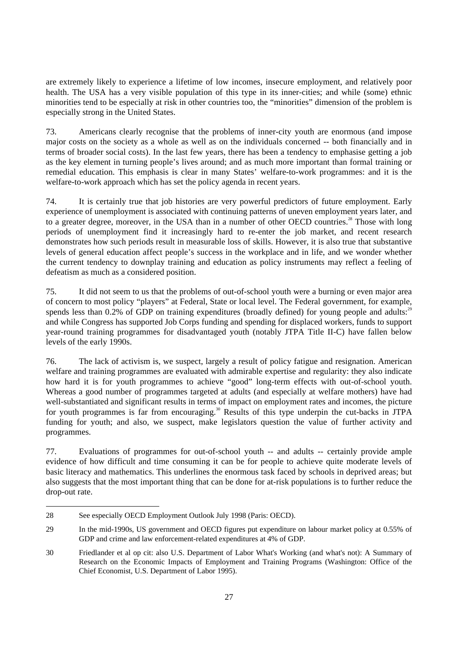are extremely likely to experience a lifetime of low incomes, insecure employment, and relatively poor health. The USA has a very visible population of this type in its inner-cities; and while (some) ethnic minorities tend to be especially at risk in other countries too, the "minorities" dimension of the problem is especially strong in the United States.

73. Americans clearly recognise that the problems of inner-city youth are enormous (and impose major costs on the society as a whole as well as on the individuals concerned -- both financially and in terms of broader social costs). In the last few years, there has been a tendency to emphasise getting a job as the key element in turning people's lives around; and as much more important than formal training or remedial education. This emphasis is clear in many States' welfare-to-work programmes: and it is the welfare-to-work approach which has set the policy agenda in recent years.

74. It is certainly true that job histories are very powerful predictors of future employment. Early experience of unemployment is associated with continuing patterns of uneven employment years later, and to a greater degree, moreover, in the USA than in a number of other OECD countries.<sup>28</sup> Those with long periods of unemployment find it increasingly hard to re-enter the job market, and recent research demonstrates how such periods result in measurable loss of skills. However, it is also true that substantive levels of general education affect people's success in the workplace and in life, and we wonder whether the current tendency to downplay training and education as policy instruments may reflect a feeling of defeatism as much as a considered position.

75. It did not seem to us that the problems of out-of-school youth were a burning or even major area of concern to most policy "players" at Federal, State or local level. The Federal government, for example, spends less than  $0.2\%$  of GDP on training expenditures (broadly defined) for young people and adults: and while Congress has supported Job Corps funding and spending for displaced workers, funds to support year-round training programmes for disadvantaged youth (notably JTPA Title II-C) have fallen below levels of the early 1990s.

76. The lack of activism is, we suspect, largely a result of policy fatigue and resignation. American welfare and training programmes are evaluated with admirable expertise and regularity: they also indicate how hard it is for youth programmes to achieve "good" long-term effects with out-of-school youth. Whereas a good number of programmes targeted at adults (and especially at welfare mothers) have had well-substantiated and significant results in terms of impact on employment rates and incomes, the picture for youth programmes is far from encouraging.<sup>30</sup> Results of this type underpin the cut-backs in JTPA funding for youth; and also, we suspect, make legislators question the value of further activity and programmes.

77. Evaluations of programmes for out-of-school youth -- and adults -- certainly provide ample evidence of how difficult and time consuming it can be for people to achieve quite moderate levels of basic literacy and mathematics. This underlines the enormous task faced by schools in deprived areas; but also suggests that the most important thing that can be done for at-risk populations is to further reduce the drop-out rate.

<sup>28</sup> See especially OECD Employment Outlook July 1998 (Paris: OECD).

<sup>29</sup> In the mid-1990s, US government and OECD figures put expenditure on labour market policy at 0.55% of GDP and crime and law enforcement-related expenditures at 4% of GDP.

<sup>30</sup> Friedlander et al op cit: also U.S. Department of Labor What's Working (and what's not): A Summary of Research on the Economic Impacts of Employment and Training Programs (Washington: Office of the Chief Economist, U.S. Department of Labor 1995).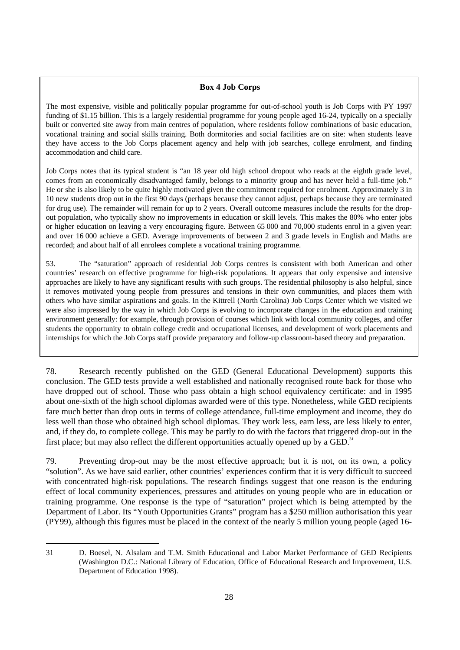#### **Box 4 Job Corps**

The most expensive, visible and politically popular programme for out-of-school youth is Job Corps with PY 1997 funding of \$1.15 billion. This is a largely residential programme for young people aged 16-24, typically on a specially built or converted site away from main centres of population, where residents follow combinations of basic education, vocational training and social skills training. Both dormitories and social facilities are on site: when students leave they have access to the Job Corps placement agency and help with job searches, college enrolment, and finding accommodation and child care.

Job Corps notes that its typical student is "an 18 year old high school dropout who reads at the eighth grade level, comes from an economically disadvantaged family, belongs to a minority group and has never held a full-time job." He or she is also likely to be quite highly motivated given the commitment required for enrolment. Approximately 3 in 10 new students drop out in the first 90 days (perhaps because they cannot adjust, perhaps because they are terminated for drug use). The remainder will remain for up to 2 years. Overall outcome measures include the results for the dropout population, who typically show no improvements in education or skill levels. This makes the 80% who enter jobs or higher education on leaving a very encouraging figure. Between 65 000 and 70,000 students enrol in a given year: and over 16 000 achieve a GED. Average improvements of between 2 and 3 grade levels in English and Maths are recorded; and about half of all enrolees complete a vocational training programme.

53. The "saturation" approach of residential Job Corps centres is consistent with both American and other countries' research on effective programme for high-risk populations. It appears that only expensive and intensive approaches are likely to have any significant results with such groups. The residential philosophy is also helpful, since it removes motivated young people from pressures and tensions in their own communities, and places them with others who have similar aspirations and goals. In the Kittrell (North Carolina) Job Corps Center which we visited we were also impressed by the way in which Job Corps is evolving to incorporate changes in the education and training environment generally: for example, through provision of courses which link with local community colleges, and offer students the opportunity to obtain college credit and occupational licenses, and development of work placements and internships for which the Job Corps staff provide preparatory and follow-up classroom-based theory and preparation.

78. Research recently published on the GED (General Educational Development) supports this conclusion. The GED tests provide a well established and nationally recognised route back for those who have dropped out of school. Those who pass obtain a high school equivalency certificate: and in 1995 about one-sixth of the high school diplomas awarded were of this type. Nonetheless, while GED recipients fare much better than drop outs in terms of college attendance, full-time employment and income, they do less well than those who obtained high school diplomas. They work less, earn less, are less likely to enter, and, if they do, to complete college. This may be partly to do with the factors that triggered drop-out in the first place; but may also reflect the different opportunities actually opened up by a GED.<sup>31</sup>

79. Preventing drop-out may be the most effective approach; but it is not, on its own, a policy "solution". As we have said earlier, other countries' experiences confirm that it is very difficult to succeed with concentrated high-risk populations. The research findings suggest that one reason is the enduring effect of local community experiences, pressures and attitudes on young people who are in education or training programme. One response is the type of "saturation" project which is being attempted by the Department of Labor. Its "Youth Opportunities Grants" program has a \$250 million authorisation this year (PY99), although this figures must be placed in the context of the nearly 5 million young people (aged 16-

<sup>31</sup> D. Boesel, N. Alsalam and T.M. Smith Educational and Labor Market Performance of GED Recipients (Washington D.C.: National Library of Education, Office of Educational Research and Improvement, U.S. Department of Education 1998).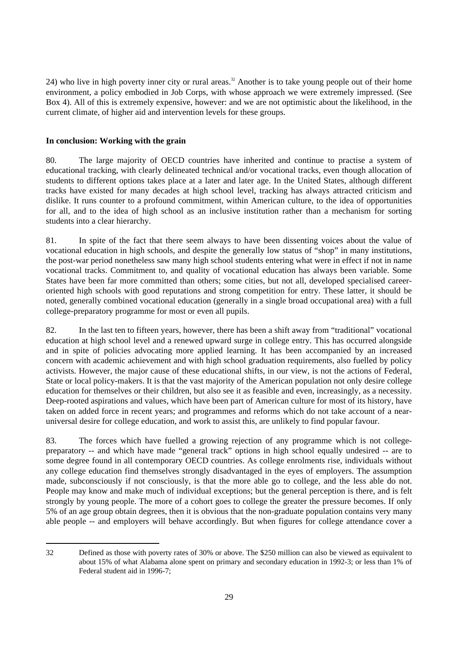24) who live in high poverty inner city or rural areas.<sup>32</sup> Another is to take young people out of their home environment, a policy embodied in Job Corps, with whose approach we were extremely impressed. (See Box 4). All of this is extremely expensive, however: and we are not optimistic about the likelihood, in the current climate, of higher aid and intervention levels for these groups.

# **In conclusion: Working with the grain**

80. The large majority of OECD countries have inherited and continue to practise a system of educational tracking, with clearly delineated technical and/or vocational tracks, even though allocation of students to different options takes place at a later and later age. In the United States, although different tracks have existed for many decades at high school level, tracking has always attracted criticism and dislike. It runs counter to a profound commitment, within American culture, to the idea of opportunities for all, and to the idea of high school as an inclusive institution rather than a mechanism for sorting students into a clear hierarchy.

81. In spite of the fact that there seem always to have been dissenting voices about the value of vocational education in high schools, and despite the generally low status of "shop" in many institutions, the post-war period nonetheless saw many high school students entering what were in effect if not in name vocational tracks. Commitment to, and quality of vocational education has always been variable. Some States have been far more committed than others; some cities, but not all, developed specialised careeroriented high schools with good reputations and strong competition for entry. These latter, it should be noted, generally combined vocational education (generally in a single broad occupational area) with a full college-preparatory programme for most or even all pupils.

82. In the last ten to fifteen years, however, there has been a shift away from "traditional" vocational education at high school level and a renewed upward surge in college entry. This has occurred alongside and in spite of policies advocating more applied learning. It has been accompanied by an increased concern with academic achievement and with high school graduation requirements, also fuelled by policy activists. However, the major cause of these educational shifts, in our view, is not the actions of Federal, State or local policy-makers. It is that the vast majority of the American population not only desire college education for themselves or their children, but also see it as feasible and even, increasingly, as a necessity. Deep-rooted aspirations and values, which have been part of American culture for most of its history, have taken on added force in recent years; and programmes and reforms which do not take account of a nearuniversal desire for college education, and work to assist this, are unlikely to find popular favour.

83. The forces which have fuelled a growing rejection of any programme which is not collegepreparatory -- and which have made "general track" options in high school equally undesired -- are to some degree found in all contemporary OECD countries. As college enrolments rise, individuals without any college education find themselves strongly disadvantaged in the eyes of employers. The assumption made, subconsciously if not consciously, is that the more able go to college, and the less able do not. People may know and make much of individual exceptions; but the general perception is there, and is felt strongly by young people. The more of a cohort goes to college the greater the pressure becomes. If only 5% of an age group obtain degrees, then it is obvious that the non-graduate population contains very many able people -- and employers will behave accordingly. But when figures for college attendance cover a

<sup>32</sup> Defined as those with poverty rates of 30% or above. The \$250 million can also be viewed as equivalent to about 15% of what Alabama alone spent on primary and secondary education in 1992-3; or less than 1% of Federal student aid in 1996-7;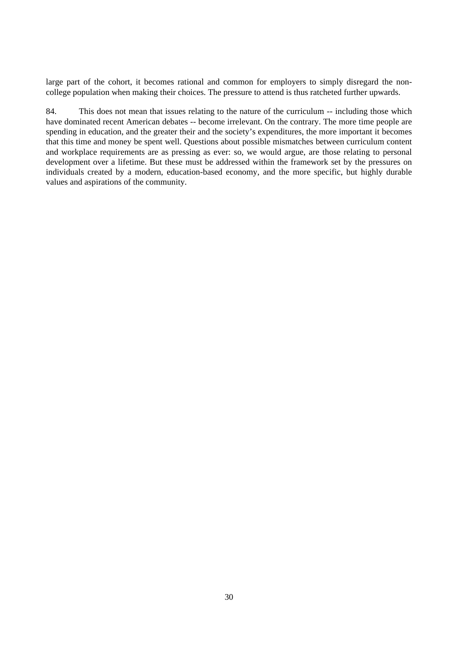large part of the cohort, it becomes rational and common for employers to simply disregard the noncollege population when making their choices. The pressure to attend is thus ratcheted further upwards.

84. This does not mean that issues relating to the nature of the curriculum -- including those which have dominated recent American debates -- become irrelevant. On the contrary. The more time people are spending in education, and the greater their and the society's expenditures, the more important it becomes that this time and money be spent well. Questions about possible mismatches between curriculum content and workplace requirements are as pressing as ever: so, we would argue, are those relating to personal development over a lifetime. But these must be addressed within the framework set by the pressures on individuals created by a modern, education-based economy, and the more specific, but highly durable values and aspirations of the community.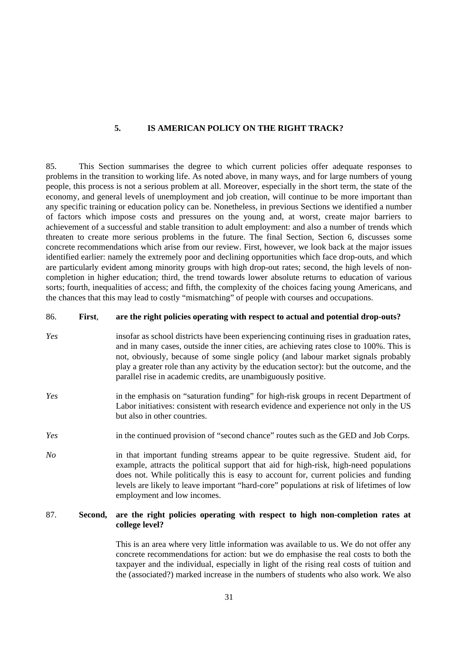#### **5. IS AMERICAN POLICY ON THE RIGHT TRACK?**

85. This Section summarises the degree to which current policies offer adequate responses to problems in the transition to working life. As noted above, in many ways, and for large numbers of young people, this process is not a serious problem at all. Moreover, especially in the short term, the state of the economy, and general levels of unemployment and job creation, will continue to be more important than any specific training or education policy can be. Nonetheless, in previous Sections we identified a number of factors which impose costs and pressures on the young and, at worst, create major barriers to achievement of a successful and stable transition to adult employment: and also a number of trends which threaten to create more serious problems in the future. The final Section, Section 6, discusses some concrete recommendations which arise from our review. First, however, we look back at the major issues identified earlier: namely the extremely poor and declining opportunities which face drop-outs, and which are particularly evident among minority groups with high drop-out rates; second, the high levels of noncompletion in higher education; third, the trend towards lower absolute returns to education of various sorts; fourth, inequalities of access; and fifth, the complexity of the choices facing young Americans, and the chances that this may lead to costly "mismatching" of people with courses and occupations.

#### 86. **First**, **are the right policies operating with respect to actual and potential drop-outs?**

- *Yes* insofar as school districts have been experiencing continuing rises in graduation rates, and in many cases, outside the inner cities, are achieving rates close to 100%. This is not, obviously, because of some single policy (and labour market signals probably play a greater role than any activity by the education sector): but the outcome, and the parallel rise in academic credits, are unambiguously positive.
- *Yes* in the emphasis on "saturation funding" for high-risk groups in recent Department of Labor initiatives: consistent with research evidence and experience not only in the US but also in other countries.
- *Yes* in the continued provision of "second chance" routes such as the GED and Job Corps.
- *No* in that important funding streams appear to be quite regressive. Student aid, for example, attracts the political support that aid for high-risk, high-need populations does not. While politically this is easy to account for, current policies and funding levels are likely to leave important "hard-core" populations at risk of lifetimes of low employment and low incomes.

# 87. **Second, are the right policies operating with respect to high non-completion rates at college level?**

This is an area where very little information was available to us. We do not offer any concrete recommendations for action: but we do emphasise the real costs to both the taxpayer and the individual, especially in light of the rising real costs of tuition and the (associated?) marked increase in the numbers of students who also work. We also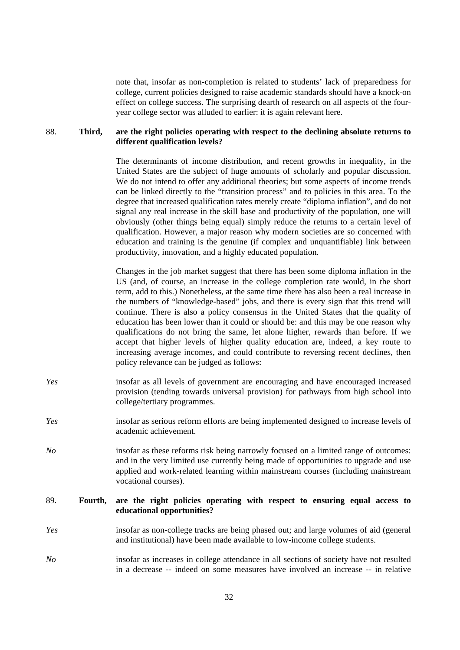note that, insofar as non-completion is related to students' lack of preparedness for college, current policies designed to raise academic standards should have a knock-on effect on college success. The surprising dearth of research on all aspects of the fouryear college sector was alluded to earlier: it is again relevant here.

# 88. **Third, are the right policies operating with respect to the declining absolute returns to different qualification levels?**

The determinants of income distribution, and recent growths in inequality, in the United States are the subject of huge amounts of scholarly and popular discussion. We do not intend to offer any additional theories; but some aspects of income trends can be linked directly to the "transition process" and to policies in this area. To the degree that increased qualification rates merely create "diploma inflation", and do not signal any real increase in the skill base and productivity of the population, one will obviously (other things being equal) simply reduce the returns to a certain level of qualification. However, a major reason why modern societies are so concerned with education and training is the genuine (if complex and unquantifiable) link between productivity, innovation, and a highly educated population.

Changes in the job market suggest that there has been some diploma inflation in the US (and, of course, an increase in the college completion rate would, in the short term, add to this.) Nonetheless, at the same time there has also been a real increase in the numbers of "knowledge-based" jobs, and there is every sign that this trend will continue. There is also a policy consensus in the United States that the quality of education has been lower than it could or should be: and this may be one reason why qualifications do not bring the same, let alone higher, rewards than before. If we accept that higher levels of higher quality education are, indeed, a key route to increasing average incomes, and could contribute to reversing recent declines, then policy relevance can be judged as follows:

- *Yes* insofar as all levels of government are encouraging and have encouraged increased provision (tending towards universal provision) for pathways from high school into college/tertiary programmes.
- *Yes* insofar as serious reform efforts are being implemented designed to increase levels of academic achievement.
- *No* insofar as these reforms risk being narrowly focused on a limited range of outcomes: and in the very limited use currently being made of opportunities to upgrade and use applied and work-related learning within mainstream courses (including mainstream vocational courses).

# 89. **Fourth, are the right policies operating with respect to ensuring equal access to educational opportunities?**

- *Yes* insofar as non-college tracks are being phased out; and large volumes of aid (general and institutional) have been made available to low-income college students.
- *No* insofar as increases in college attendance in all sections of society have not resulted in a decrease -- indeed on some measures have involved an increase -- in relative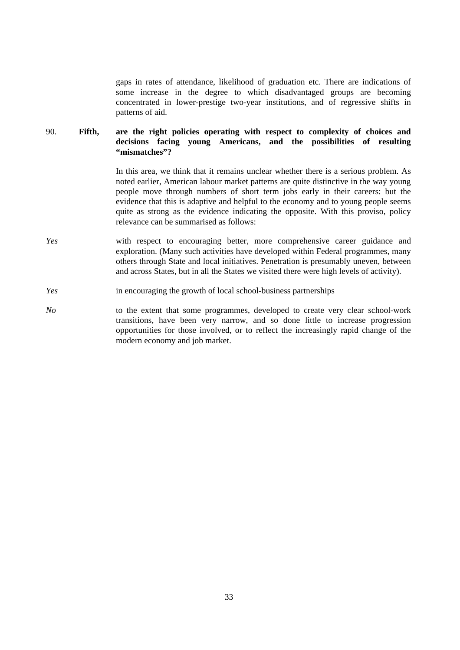gaps in rates of attendance, likelihood of graduation etc. There are indications of some increase in the degree to which disadvantaged groups are becoming concentrated in lower-prestige two-year institutions, and of regressive shifts in patterns of aid.

# 90. **Fifth, are the right policies operating with respect to complexity of choices and decisions facing young Americans, and the possibilities of resulting "mismatches"?**

In this area, we think that it remains unclear whether there is a serious problem. As noted earlier, American labour market patterns are quite distinctive in the way young people move through numbers of short term jobs early in their careers: but the evidence that this is adaptive and helpful to the economy and to young people seems quite as strong as the evidence indicating the opposite. With this proviso, policy relevance can be summarised as follows:

- *Yes* with respect to encouraging better, more comprehensive career guidance and exploration. (Many such activities have developed within Federal programmes, many others through State and local initiatives. Penetration is presumably uneven, between and across States, but in all the States we visited there were high levels of activity).
- *Yes* in encouraging the growth of local school-business partnerships
- *No* to the extent that some programmes, developed to create very clear school-work transitions, have been very narrow, and so done little to increase progression opportunities for those involved, or to reflect the increasingly rapid change of the modern economy and job market.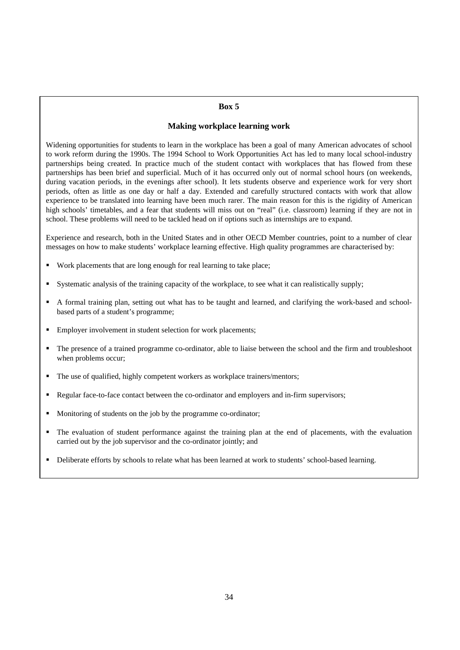#### **Box 5**

# **Making workplace learning work**

Widening opportunities for students to learn in the workplace has been a goal of many American advocates of school to work reform during the 1990s. The 1994 School to Work Opportunities Act has led to many local school-industry partnerships being created. In practice much of the student contact with workplaces that has flowed from these partnerships has been brief and superficial. Much of it has occurred only out of normal school hours (on weekends, during vacation periods, in the evenings after school). It lets students observe and experience work for very short periods, often as little as one day or half a day. Extended and carefully structured contacts with work that allow experience to be translated into learning have been much rarer. The main reason for this is the rigidity of American high schools' timetables, and a fear that students will miss out on "real" (i.e. classroom) learning if they are not in school. These problems will need to be tackled head on if options such as internships are to expand.

Experience and research, both in the United States and in other OECD Member countries, point to a number of clear messages on how to make students' workplace learning effective. High quality programmes are characterised by:

- Work placements that are long enough for real learning to take place;
- Systematic analysis of the training capacity of the workplace, to see what it can realistically supply;
- A formal training plan, setting out what has to be taught and learned, and clarifying the work-based and schoolbased parts of a student's programme;
- **Employer involvement in student selection for work placements;**
- The presence of a trained programme co-ordinator, able to liaise between the school and the firm and troubleshoot when problems occur;
- The use of qualified, highly competent workers as workplace trainers/mentors;
- Regular face-to-face contact between the co-ordinator and employers and in-firm supervisors;
- **Monitoring of students on the job by the programme co-ordinator;**
- The evaluation of student performance against the training plan at the end of placements, with the evaluation carried out by the job supervisor and the co-ordinator jointly; and
- Deliberate efforts by schools to relate what has been learned at work to students' school-based learning.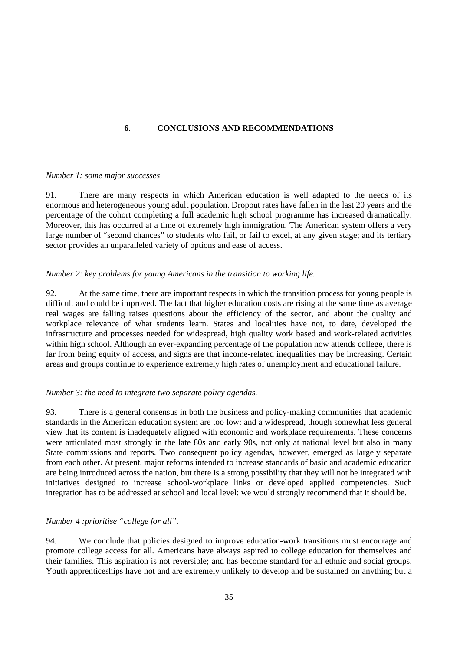# **6. CONCLUSIONS AND RECOMMENDATIONS**

#### *Number 1: some major successes*

91. There are many respects in which American education is well adapted to the needs of its enormous and heterogeneous young adult population. Dropout rates have fallen in the last 20 years and the percentage of the cohort completing a full academic high school programme has increased dramatically. Moreover, this has occurred at a time of extremely high immigration. The American system offers a very large number of "second chances" to students who fail, or fail to excel, at any given stage; and its tertiary sector provides an unparalleled variety of options and ease of access.

# *Number 2: key problems for young Americans in the transition to working life.*

92. At the same time, there are important respects in which the transition process for young people is difficult and could be improved. The fact that higher education costs are rising at the same time as average real wages are falling raises questions about the efficiency of the sector, and about the quality and workplace relevance of what students learn. States and localities have not, to date, developed the infrastructure and processes needed for widespread, high quality work based and work-related activities within high school. Although an ever-expanding percentage of the population now attends college, there is far from being equity of access, and signs are that income-related inequalities may be increasing. Certain areas and groups continue to experience extremely high rates of unemployment and educational failure.

# *Number 3: the need to integrate two separate policy agendas.*

93. There is a general consensus in both the business and policy-making communities that academic standards in the American education system are too low: and a widespread, though somewhat less general view that its content is inadequately aligned with economic and workplace requirements. These concerns were articulated most strongly in the late 80s and early 90s, not only at national level but also in many State commissions and reports. Two consequent policy agendas, however, emerged as largely separate from each other. At present, major reforms intended to increase standards of basic and academic education are being introduced across the nation, but there is a strong possibility that they will not be integrated with initiatives designed to increase school-workplace links or developed applied competencies. Such integration has to be addressed at school and local level: we would strongly recommend that it should be.

# *Number 4 :prioritise "college for all".*

94. We conclude that policies designed to improve education-work transitions must encourage and promote college access for all. Americans have always aspired to college education for themselves and their families. This aspiration is not reversible; and has become standard for all ethnic and social groups. Youth apprenticeships have not and are extremely unlikely to develop and be sustained on anything but a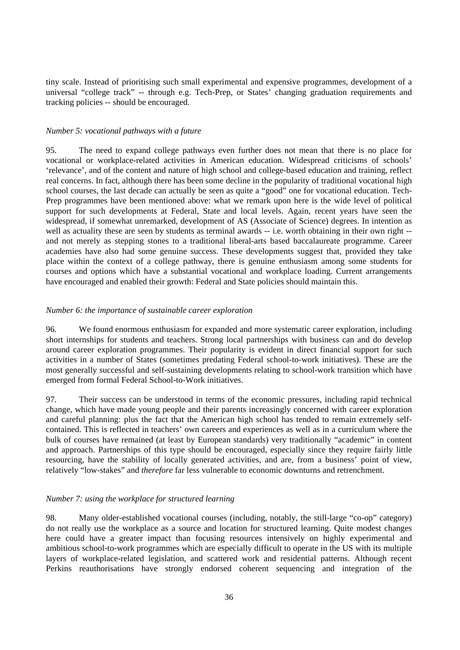tiny scale. Instead of prioritising such small experimental and expensive programmes, development of a universal "college track" -- through e.g. Tech-Prep, or States' changing graduation requirements and tracking policies -- should be encouraged.

#### *Number 5: vocational pathways with a future*

95. The need to expand college pathways even further does not mean that there is no place for vocational or workplace-related activities in American education. Widespread criticisms of schools' 'relevance', and of the content and nature of high school and college-based education and training, reflect real concerns. In fact, although there has been some decline in the popularity of traditional vocational high school courses, the last decade can actually be seen as quite a "good" one for vocational education. Tech-Prep programmes have been mentioned above: what we remark upon here is the wide level of political support for such developments at Federal, State and local levels. Again, recent years have seen the widespread, if somewhat unremarked, development of AS (Associate of Science) degrees. In intention as well as actuality these are seen by students as terminal awards -- i.e. worth obtaining in their own right - and not merely as stepping stones to a traditional liberal-arts based baccalaureate programme. Career academies have also had some genuine success. These developments suggest that, provided they take place within the context of a college pathway, there is genuine enthusiasm among some students for courses and options which have a substantial vocational and workplace loading. Current arrangements have encouraged and enabled their growth: Federal and State policies should maintain this.

#### *Number 6: the importance of sustainable career exploration*

96. We found enormous enthusiasm for expanded and more systematic career exploration, including short internships for students and teachers. Strong local partnerships with business can and do develop around career exploration programmes. Their popularity is evident in direct financial support for such activities in a number of States (sometimes predating Federal school-to-work initiatives). These are the most generally successful and self-sustaining developments relating to school-work transition which have emerged from formal Federal School-to-Work initiatives.

97. Their success can be understood in terms of the economic pressures, including rapid technical change, which have made young people and their parents increasingly concerned with career exploration and careful planning: plus the fact that the American high school has tended to remain extremely selfcontained. This is reflected in teachers' own careers and experiences as well as in a curriculum where the bulk of courses have remained (at least by European standards) very traditionally "academic" in content and approach. Partnerships of this type should be encouraged, especially since they require fairly little resourcing, have the stability of locally generated activities, and are, from a business' point of view, relatively "low-stakes" and *therefore* far less vulnerable to economic downturns and retrenchment.

#### *Number 7: using the workplace for structured learning*

98. Many older-established vocational courses (including, notably, the still-large "co-op" category) do not really use the workplace as a source and location for structured learning. Quite modest changes here could have a greater impact than focusing resources intensively on highly experimental and ambitious school-to-work programmes which are especially difficult to operate in the US with its multiple layers of workplace-related legislation, and scattered work and residential patterns. Although recent Perkins reauthorisations have strongly endorsed coherent sequencing and integration of the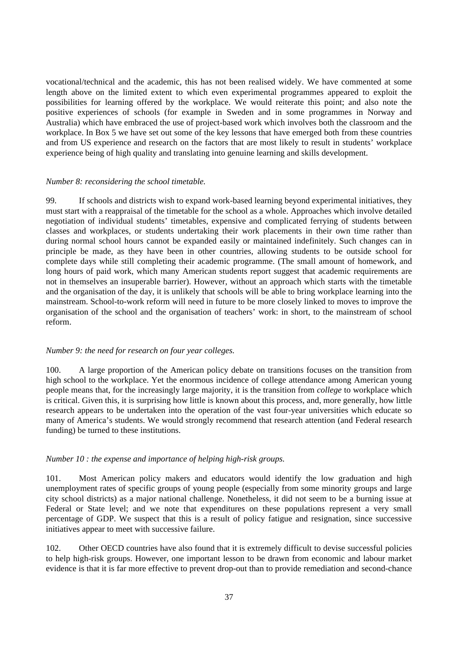vocational/technical and the academic, this has not been realised widely. We have commented at some length above on the limited extent to which even experimental programmes appeared to exploit the possibilities for learning offered by the workplace. We would reiterate this point; and also note the positive experiences of schools (for example in Sweden and in some programmes in Norway and Australia) which have embraced the use of project-based work which involves both the classroom and the workplace. In Box 5 we have set out some of the key lessons that have emerged both from these countries and from US experience and research on the factors that are most likely to result in students' workplace experience being of high quality and translating into genuine learning and skills development.

#### *Number 8: reconsidering the school timetable.*

99. If schools and districts wish to expand work-based learning beyond experimental initiatives, they must start with a reappraisal of the timetable for the school as a whole. Approaches which involve detailed negotiation of individual students' timetables, expensive and complicated ferrying of students between classes and workplaces, or students undertaking their work placements in their own time rather than during normal school hours cannot be expanded easily or maintained indefinitely. Such changes can in principle be made, as they have been in other countries, allowing students to be outside school for complete days while still completing their academic programme. (The small amount of homework, and long hours of paid work, which many American students report suggest that academic requirements are not in themselves an insuperable barrier). However, without an approach which starts with the timetable and the organisation of the day, it is unlikely that schools will be able to bring workplace learning into the mainstream. School-to-work reform will need in future to be more closely linked to moves to improve the organisation of the school and the organisation of teachers' work: in short, to the mainstream of school reform.

#### *Number 9: the need for research on four year colleges.*

100. A large proportion of the American policy debate on transitions focuses on the transition from high school to the workplace. Yet the enormous incidence of college attendance among American young people means that, for the increasingly large majority, it is the transition from *college* to workplace which is critical. Given this, it is surprising how little is known about this process, and, more generally, how little research appears to be undertaken into the operation of the vast four-year universities which educate so many of America's students. We would strongly recommend that research attention (and Federal research funding) be turned to these institutions.

#### *Number 10 : the expense and importance of helping high-risk groups.*

101. Most American policy makers and educators would identify the low graduation and high unemployment rates of specific groups of young people (especially from some minority groups and large city school districts) as a major national challenge. Nonetheless, it did not seem to be a burning issue at Federal or State level; and we note that expenditures on these populations represent a very small percentage of GDP. We suspect that this is a result of policy fatigue and resignation, since successive initiatives appear to meet with successive failure.

102. Other OECD countries have also found that it is extremely difficult to devise successful policies to help high-risk groups. However, one important lesson to be drawn from economic and labour market evidence is that it is far more effective to prevent drop-out than to provide remediation and second-chance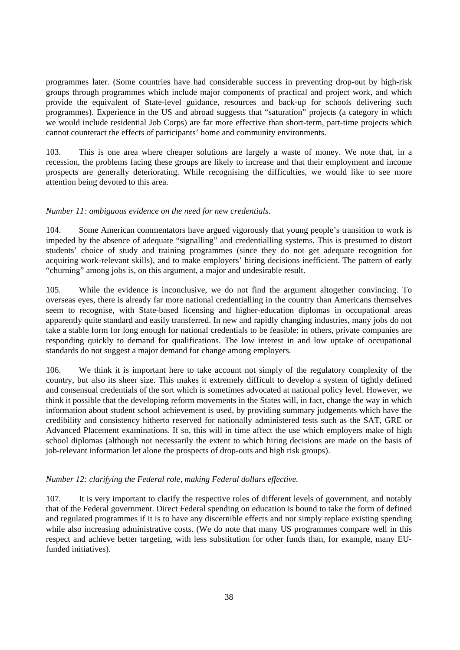programmes later. (Some countries have had considerable success in preventing drop-out by high-risk groups through programmes which include major components of practical and project work, and which provide the equivalent of State-level guidance, resources and back-up for schools delivering such programmes). Experience in the US and abroad suggests that "saturation" projects (a category in which we would include residential Job Corps) are far more effective than short-term, part-time projects which cannot counteract the effects of participants' home and community environments.

103. This is one area where cheaper solutions are largely a waste of money. We note that, in a recession, the problems facing these groups are likely to increase and that their employment and income prospects are generally deteriorating. While recognising the difficulties, we would like to see more attention being devoted to this area.

#### *Number 11: ambiguous evidence on the need for new credentials.*

104. Some American commentators have argued vigorously that young people's transition to work is impeded by the absence of adequate "signalling" and credentialling systems. This is presumed to distort students' choice of study and training programmes (since they do not get adequate recognition for acquiring work-relevant skills), and to make employers' hiring decisions inefficient. The pattern of early "churning" among jobs is, on this argument, a major and undesirable result.

105. While the evidence is inconclusive, we do not find the argument altogether convincing. To overseas eyes, there is already far more national credentialling in the country than Americans themselves seem to recognise, with State-based licensing and higher-education diplomas in occupational areas apparently quite standard and easily transferred. In new and rapidly changing industries, many jobs do not take a stable form for long enough for national credentials to be feasible: in others, private companies are responding quickly to demand for qualifications. The low interest in and low uptake of occupational standards do not suggest a major demand for change among employers.

106. We think it is important here to take account not simply of the regulatory complexity of the country, but also its sheer size. This makes it extremely difficult to develop a system of tightly defined and consensual credentials of the sort which is sometimes advocated at national policy level. However, we think it possible that the developing reform movements in the States will, in fact, change the way in which information about student school achievement is used, by providing summary judgements which have the credibility and consistency hitherto reserved for nationally administered tests such as the SAT, GRE or Advanced Placement examinations. If so, this will in time affect the use which employers make of high school diplomas (although not necessarily the extent to which hiring decisions are made on the basis of job-relevant information let alone the prospects of drop-outs and high risk groups).

#### *Number 12: clarifying the Federal role, making Federal dollars effective.*

107. It is very important to clarify the respective roles of different levels of government, and notably that of the Federal government. Direct Federal spending on education is bound to take the form of defined and regulated programmes if it is to have any discernible effects and not simply replace existing spending while also increasing administrative costs. (We do note that many US programmes compare well in this respect and achieve better targeting, with less substitution for other funds than, for example, many EUfunded initiatives).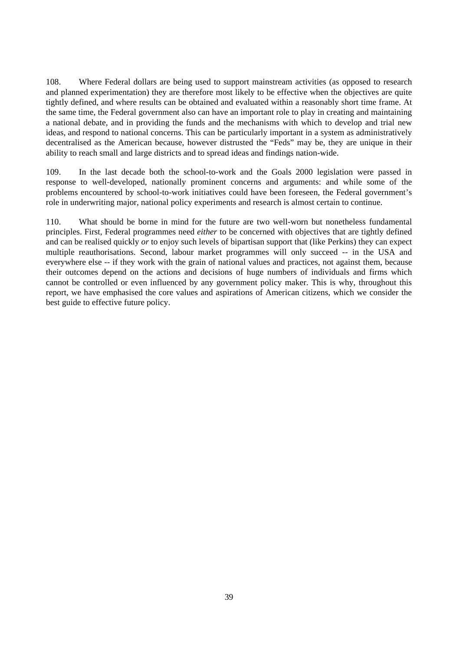108. Where Federal dollars are being used to support mainstream activities (as opposed to research and planned experimentation) they are therefore most likely to be effective when the objectives are quite tightly defined, and where results can be obtained and evaluated within a reasonably short time frame. At the same time, the Federal government also can have an important role to play in creating and maintaining a national debate, and in providing the funds and the mechanisms with which to develop and trial new ideas, and respond to national concerns. This can be particularly important in a system as administratively decentralised as the American because, however distrusted the "Feds" may be, they are unique in their ability to reach small and large districts and to spread ideas and findings nation-wide.

109. In the last decade both the school-to-work and the Goals 2000 legislation were passed in response to well-developed, nationally prominent concerns and arguments: and while some of the problems encountered by school-to-work initiatives could have been foreseen, the Federal government's role in underwriting major, national policy experiments and research is almost certain to continue.

110. What should be borne in mind for the future are two well-worn but nonetheless fundamental principles. First, Federal programmes need *either* to be concerned with objectives that are tightly defined and can be realised quickly *or* to enjoy such levels of bipartisan support that (like Perkins) they can expect multiple reauthorisations. Second, labour market programmes will only succeed -- in the USA and everywhere else -- if they work with the grain of national values and practices, not against them, because their outcomes depend on the actions and decisions of huge numbers of individuals and firms which cannot be controlled or even influenced by any government policy maker. This is why, throughout this report, we have emphasised the core values and aspirations of American citizens, which we consider the best guide to effective future policy.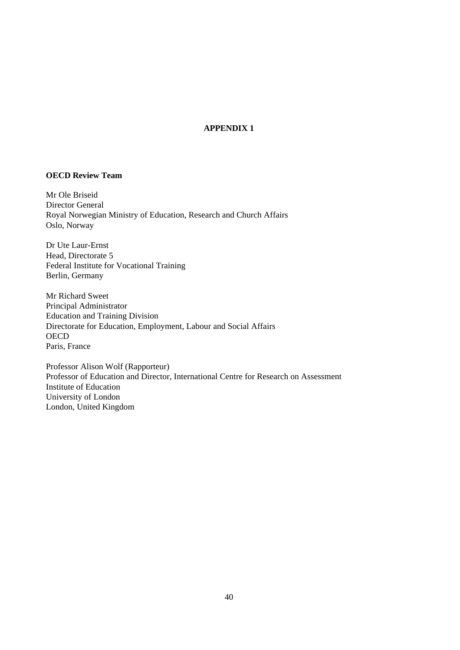# **APPENDIX 1**

# **OECD Review Team**

Mr Ole Briseid Director General Royal Norwegian Ministry of Education, Research and Church Affairs Oslo, Norway

Dr Ute Laur-Ernst Head, Directorate 5 Federal Institute for Vocational Training Berlin, Germany

Mr Richard Sweet Principal Administrator Education and Training Division Directorate for Education, Employment, Labour and Social Affairs **OECD** Paris, France

Professor Alison Wolf (Rapporteur) Professor of Education and Director, International Centre for Research on Assessment Institute of Education University of London London, United Kingdom